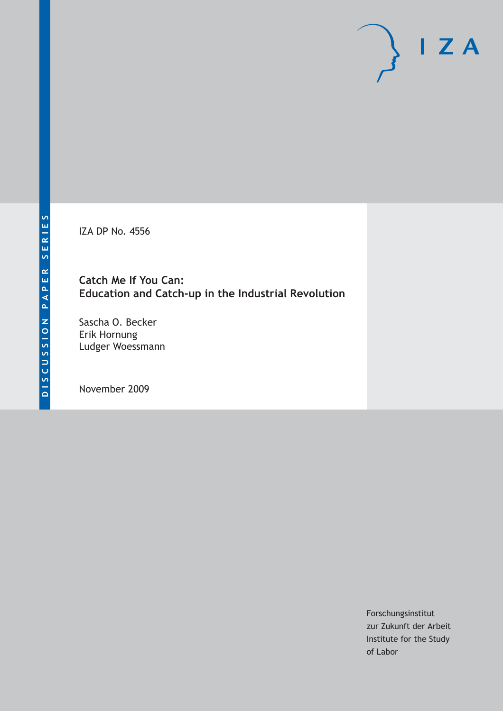IZA DP No. 4556

# **Catch Me If You Can: Education and Catch-up in the Industrial Revolution**

Sascha O. Becker Erik Hornung Ludger Woessmann

November 2009

Forschungsinstitut zur Zukunft der Arbeit Institute for the Study of Labor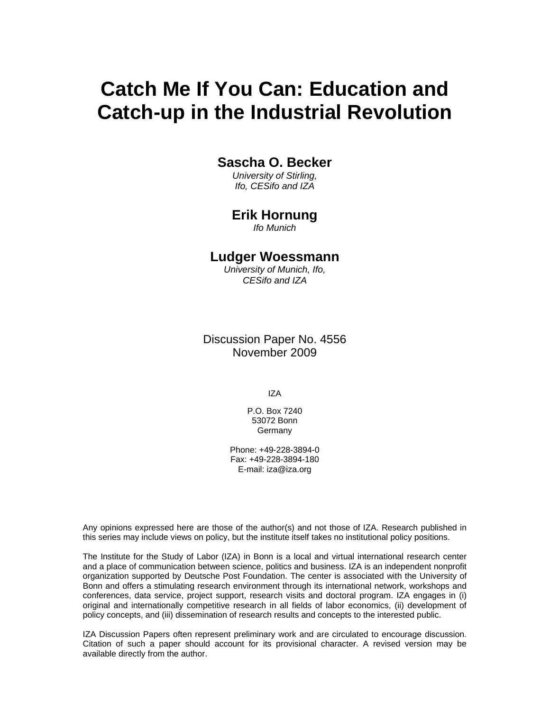# **Catch Me If You Can: Education and Catch-up in the Industrial Revolution**

### **Sascha O. Becker**

*University of Stirling, Ifo, CESifo and IZA* 

## **Erik Hornung**

*Ifo Munich* 

### **Ludger Woessmann**

*University of Munich, Ifo, CESifo and IZA* 

Discussion Paper No. 4556 November 2009

IZA

P.O. Box 7240 53072 Bonn **Germany** 

Phone: +49-228-3894-0 Fax: +49-228-3894-180 E-mail: iza@iza.org

Any opinions expressed here are those of the author(s) and not those of IZA. Research published in this series may include views on policy, but the institute itself takes no institutional policy positions.

The Institute for the Study of Labor (IZA) in Bonn is a local and virtual international research center and a place of communication between science, politics and business. IZA is an independent nonprofit organization supported by Deutsche Post Foundation. The center is associated with the University of Bonn and offers a stimulating research environment through its international network, workshops and conferences, data service, project support, research visits and doctoral program. IZA engages in (i) original and internationally competitive research in all fields of labor economics, (ii) development of policy concepts, and (iii) dissemination of research results and concepts to the interested public.

IZA Discussion Papers often represent preliminary work and are circulated to encourage discussion. Citation of such a paper should account for its provisional character. A revised version may be available directly from the author.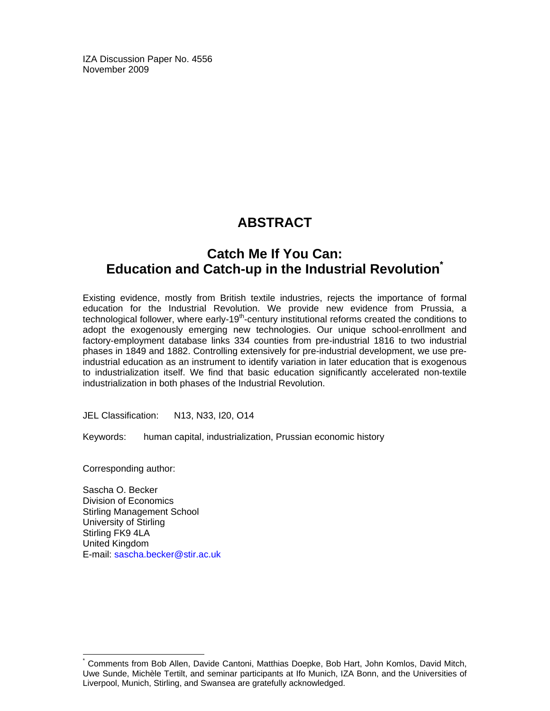IZA Discussion Paper No. 4556 November 2009

# **ABSTRACT**

# **Catch Me If You Can: Education and Catch-up in the Industrial Revolution\***

Existing evidence, mostly from British textile industries, rejects the importance of formal education for the Industrial Revolution. We provide new evidence from Prussia, a technological follower, where early-19<sup>th</sup>-century institutional reforms created the conditions to adopt the exogenously emerging new technologies. Our unique school-enrollment and factory-employment database links 334 counties from pre-industrial 1816 to two industrial phases in 1849 and 1882. Controlling extensively for pre-industrial development, we use preindustrial education as an instrument to identify variation in later education that is exogenous to industrialization itself. We find that basic education significantly accelerated non-textile industrialization in both phases of the Industrial Revolution.

JEL Classification: N13, N33, I20, O14

Keywords: human capital, industrialization, Prussian economic history

Corresponding author:

-

Sascha O. Becker Division of Economics Stirling Management School University of Stirling Stirling FK9 4LA United Kingdom E-mail: sascha.becker@stir.ac.uk

<sup>\*</sup> Comments from Bob Allen, Davide Cantoni, Matthias Doepke, Bob Hart, John Komlos, David Mitch, Uwe Sunde, Michèle Tertilt, and seminar participants at Ifo Munich, IZA Bonn, and the Universities of Liverpool, Munich, Stirling, and Swansea are gratefully acknowledged.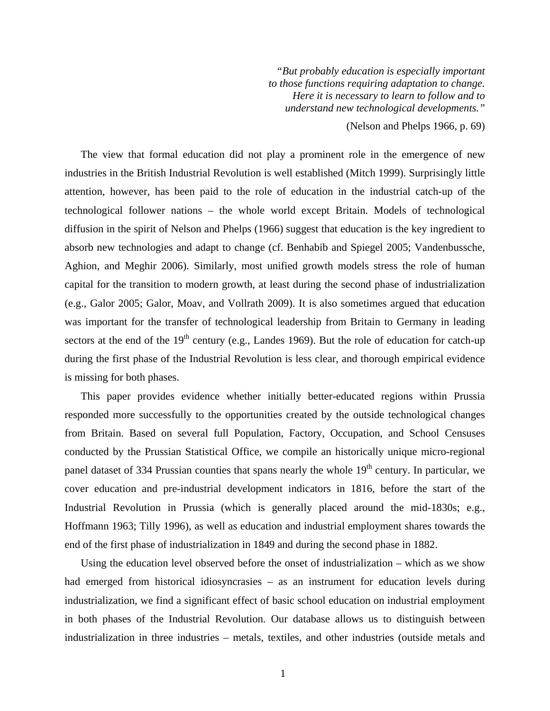*"But probably education is especially important to those functions requiring adaptation to change. Here it is necessary to learn to follow and to understand new technological developments."*  (Nelson and Phelps 1966, p. 69)

The view that formal education did not play a prominent role in the emergence of new industries in the British Industrial Revolution is well established (Mitch 1999). Surprisingly little attention, however, has been paid to the role of education in the industrial catch-up of the technological follower nations – the whole world except Britain. Models of technological diffusion in the spirit of Nelson and Phelps (1966) suggest that education is the key ingredient to absorb new technologies and adapt to change (cf. Benhabib and Spiegel 2005; Vandenbussche, Aghion, and Meghir 2006). Similarly, most unified growth models stress the role of human capital for the transition to modern growth, at least during the second phase of industrialization (e.g., Galor 2005; Galor, Moav, and Vollrath 2009). It is also sometimes argued that education was important for the transfer of technological leadership from Britain to Germany in leading sectors at the end of the  $19<sup>th</sup>$  century (e.g., Landes 1969). But the role of education for catch-up during the first phase of the Industrial Revolution is less clear, and thorough empirical evidence is missing for both phases.

This paper provides evidence whether initially better-educated regions within Prussia responded more successfully to the opportunities created by the outside technological changes from Britain. Based on several full Population, Factory, Occupation, and School Censuses conducted by the Prussian Statistical Office, we compile an historically unique micro-regional panel dataset of 334 Prussian counties that spans nearly the whole 19<sup>th</sup> century. In particular, we cover education and pre-industrial development indicators in 1816, before the start of the Industrial Revolution in Prussia (which is generally placed around the mid-1830s; e.g., Hoffmann 1963; Tilly 1996), as well as education and industrial employment shares towards the end of the first phase of industrialization in 1849 and during the second phase in 1882.

Using the education level observed before the onset of industrialization – which as we show had emerged from historical idiosyncrasies – as an instrument for education levels during industrialization, we find a significant effect of basic school education on industrial employment in both phases of the Industrial Revolution. Our database allows us to distinguish between industrialization in three industries – metals, textiles, and other industries (outside metals and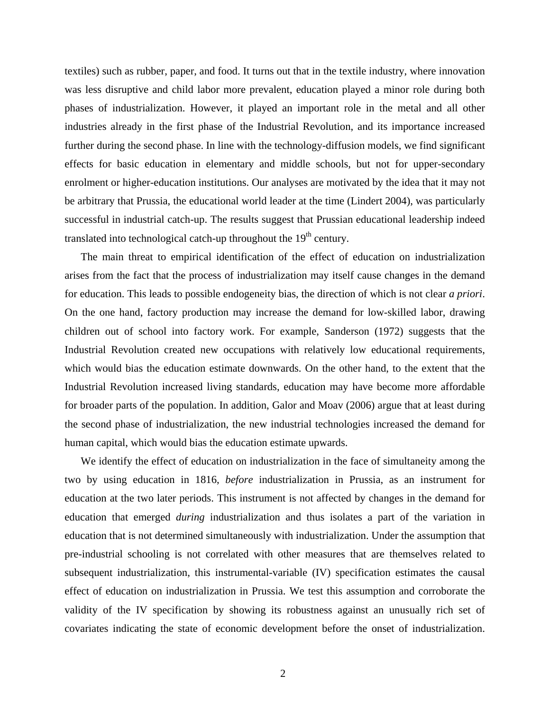textiles) such as rubber, paper, and food. It turns out that in the textile industry, where innovation was less disruptive and child labor more prevalent, education played a minor role during both phases of industrialization. However, it played an important role in the metal and all other industries already in the first phase of the Industrial Revolution, and its importance increased further during the second phase. In line with the technology-diffusion models, we find significant effects for basic education in elementary and middle schools, but not for upper-secondary enrolment or higher-education institutions. Our analyses are motivated by the idea that it may not be arbitrary that Prussia, the educational world leader at the time (Lindert 2004), was particularly successful in industrial catch-up. The results suggest that Prussian educational leadership indeed translated into technological catch-up throughout the  $19<sup>th</sup>$  century.

The main threat to empirical identification of the effect of education on industrialization arises from the fact that the process of industrialization may itself cause changes in the demand for education. This leads to possible endogeneity bias, the direction of which is not clear *a priori*. On the one hand, factory production may increase the demand for low-skilled labor, drawing children out of school into factory work. For example, Sanderson (1972) suggests that the Industrial Revolution created new occupations with relatively low educational requirements, which would bias the education estimate downwards. On the other hand, to the extent that the Industrial Revolution increased living standards, education may have become more affordable for broader parts of the population. In addition, Galor and Moav (2006) argue that at least during the second phase of industrialization, the new industrial technologies increased the demand for human capital, which would bias the education estimate upwards.

We identify the effect of education on industrialization in the face of simultaneity among the two by using education in 1816, *before* industrialization in Prussia, as an instrument for education at the two later periods. This instrument is not affected by changes in the demand for education that emerged *during* industrialization and thus isolates a part of the variation in education that is not determined simultaneously with industrialization. Under the assumption that pre-industrial schooling is not correlated with other measures that are themselves related to subsequent industrialization, this instrumental-variable (IV) specification estimates the causal effect of education on industrialization in Prussia. We test this assumption and corroborate the validity of the IV specification by showing its robustness against an unusually rich set of covariates indicating the state of economic development before the onset of industrialization.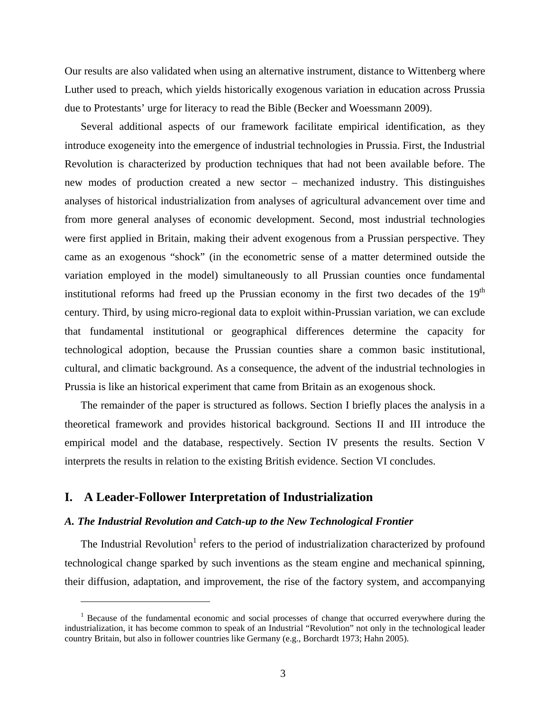Our results are also validated when using an alternative instrument, distance to Wittenberg where Luther used to preach, which yields historically exogenous variation in education across Prussia due to Protestants' urge for literacy to read the Bible (Becker and Woessmann 2009).

Several additional aspects of our framework facilitate empirical identification, as they introduce exogeneity into the emergence of industrial technologies in Prussia. First, the Industrial Revolution is characterized by production techniques that had not been available before. The new modes of production created a new sector – mechanized industry. This distinguishes analyses of historical industrialization from analyses of agricultural advancement over time and from more general analyses of economic development. Second, most industrial technologies were first applied in Britain, making their advent exogenous from a Prussian perspective. They came as an exogenous "shock" (in the econometric sense of a matter determined outside the variation employed in the model) simultaneously to all Prussian counties once fundamental institutional reforms had freed up the Prussian economy in the first two decades of the  $19<sup>th</sup>$ century. Third, by using micro-regional data to exploit within-Prussian variation, we can exclude that fundamental institutional or geographical differences determine the capacity for technological adoption, because the Prussian counties share a common basic institutional, cultural, and climatic background. As a consequence, the advent of the industrial technologies in Prussia is like an historical experiment that came from Britain as an exogenous shock.

The remainder of the paper is structured as follows. Section I briefly places the analysis in a theoretical framework and provides historical background. Sections II and III introduce the empirical model and the database, respectively. Section IV presents the results. Section V interprets the results in relation to the existing British evidence. Section VI concludes.

#### **I. A Leader-Follower Interpretation of Industrialization**

1

#### *A. The Industrial Revolution and Catch-up to the New Technological Frontier*

The Industrial Revolution<sup>1</sup> refers to the period of industrialization characterized by profound technological change sparked by such inventions as the steam engine and mechanical spinning, their diffusion, adaptation, and improvement, the rise of the factory system, and accompanying

<sup>&</sup>lt;sup>1</sup> Because of the fundamental economic and social processes of change that occurred everywhere during the industrialization, it has become common to speak of an Industrial "Revolution" not only in the technological leader country Britain, but also in follower countries like Germany (e.g., Borchardt 1973; Hahn 2005).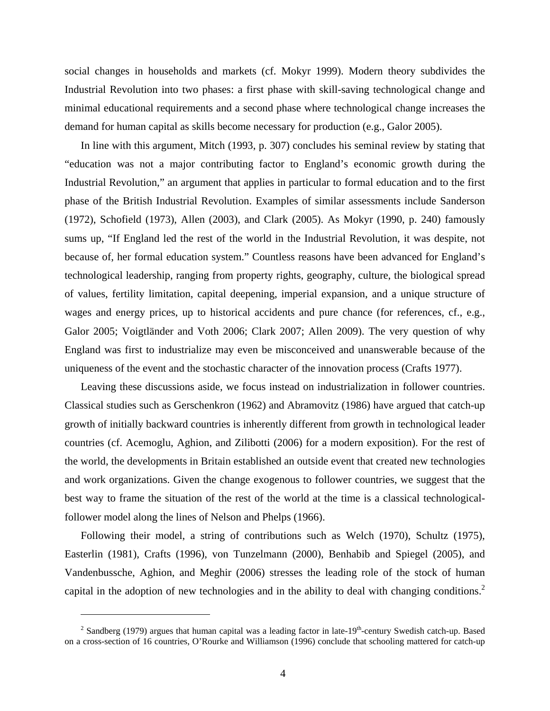social changes in households and markets (cf. Mokyr 1999). Modern theory subdivides the Industrial Revolution into two phases: a first phase with skill-saving technological change and minimal educational requirements and a second phase where technological change increases the demand for human capital as skills become necessary for production (e.g., Galor 2005).

In line with this argument, Mitch (1993, p. 307) concludes his seminal review by stating that "education was not a major contributing factor to England's economic growth during the Industrial Revolution," an argument that applies in particular to formal education and to the first phase of the British Industrial Revolution. Examples of similar assessments include Sanderson (1972), Schofield (1973), Allen (2003), and Clark (2005). As Mokyr (1990, p. 240) famously sums up, "If England led the rest of the world in the Industrial Revolution, it was despite, not because of, her formal education system." Countless reasons have been advanced for England's technological leadership, ranging from property rights, geography, culture, the biological spread of values, fertility limitation, capital deepening, imperial expansion, and a unique structure of wages and energy prices, up to historical accidents and pure chance (for references, cf., e.g., Galor 2005; Voigtländer and Voth 2006; Clark 2007; Allen 2009). The very question of why England was first to industrialize may even be misconceived and unanswerable because of the uniqueness of the event and the stochastic character of the innovation process (Crafts 1977).

Leaving these discussions aside, we focus instead on industrialization in follower countries. Classical studies such as Gerschenkron (1962) and Abramovitz (1986) have argued that catch-up growth of initially backward countries is inherently different from growth in technological leader countries (cf. Acemoglu, Aghion, and Zilibotti (2006) for a modern exposition). For the rest of the world, the developments in Britain established an outside event that created new technologies and work organizations. Given the change exogenous to follower countries, we suggest that the best way to frame the situation of the rest of the world at the time is a classical technologicalfollower model along the lines of Nelson and Phelps (1966).

Following their model, a string of contributions such as Welch (1970), Schultz (1975), Easterlin (1981), Crafts (1996), von Tunzelmann (2000), Benhabib and Spiegel (2005), and Vandenbussche, Aghion, and Meghir (2006) stresses the leading role of the stock of human capital in the adoption of new technologies and in the ability to deal with changing conditions.<sup>2</sup>

1

<sup>&</sup>lt;sup>2</sup> Sandberg (1979) argues that human capital was a leading factor in late-19<sup>th</sup>-century Swedish catch-up. Based on a cross-section of 16 countries, O'Rourke and Williamson (1996) conclude that schooling mattered for catch-up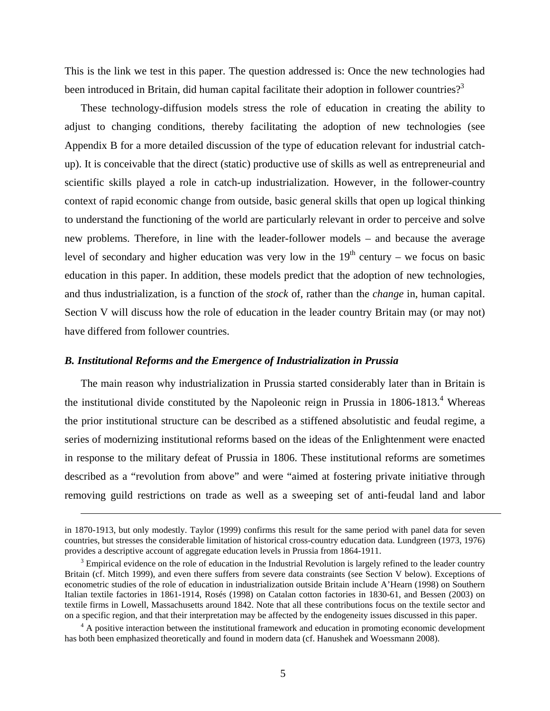This is the link we test in this paper. The question addressed is: Once the new technologies had been introduced in Britain, did human capital facilitate their adoption in follower countries?<sup>3</sup>

These technology-diffusion models stress the role of education in creating the ability to adjust to changing conditions, thereby facilitating the adoption of new technologies (see Appendix B for a more detailed discussion of the type of education relevant for industrial catchup). It is conceivable that the direct (static) productive use of skills as well as entrepreneurial and scientific skills played a role in catch-up industrialization. However, in the follower-country context of rapid economic change from outside, basic general skills that open up logical thinking to understand the functioning of the world are particularly relevant in order to perceive and solve new problems. Therefore, in line with the leader-follower models – and because the average level of secondary and higher education was very low in the  $19<sup>th</sup>$  century – we focus on basic education in this paper. In addition, these models predict that the adoption of new technologies, and thus industrialization, is a function of the *stock* of, rather than the *change* in, human capital. Section V will discuss how the role of education in the leader country Britain may (or may not) have differed from follower countries.

#### *B. Institutional Reforms and the Emergence of Industrialization in Prussia*

1

The main reason why industrialization in Prussia started considerably later than in Britain is the institutional divide constituted by the Napoleonic reign in Prussia in 1806-1813.<sup>4</sup> Whereas the prior institutional structure can be described as a stiffened absolutistic and feudal regime, a series of modernizing institutional reforms based on the ideas of the Enlightenment were enacted in response to the military defeat of Prussia in 1806. These institutional reforms are sometimes described as a "revolution from above" and were "aimed at fostering private initiative through removing guild restrictions on trade as well as a sweeping set of anti-feudal land and labor

in 1870-1913, but only modestly. Taylor (1999) confirms this result for the same period with panel data for seven countries, but stresses the considerable limitation of historical cross-country education data. Lundgreen (1973, 1976) provides a descriptive account of aggregate education levels in Prussia from 1864-1911. 3

 $3$  Empirical evidence on the role of education in the Industrial Revolution is largely refined to the leader country Britain (cf. Mitch 1999), and even there suffers from severe data constraints (see Section V below). Exceptions of econometric studies of the role of education in industrialization outside Britain include A'Hearn (1998) on Southern Italian textile factories in 1861-1914, Rosés (1998) on Catalan cotton factories in 1830-61, and Bessen (2003) on textile firms in Lowell, Massachusetts around 1842. Note that all these contributions focus on the textile sector and on a specific region, and that their interpretation may be affected by the endogeneity issues discussed in this paper. 4

 $4 \text{ A positive interaction between the institutional framework and education in promoting economic development}$ has both been emphasized theoretically and found in modern data (cf. Hanushek and Woessmann 2008).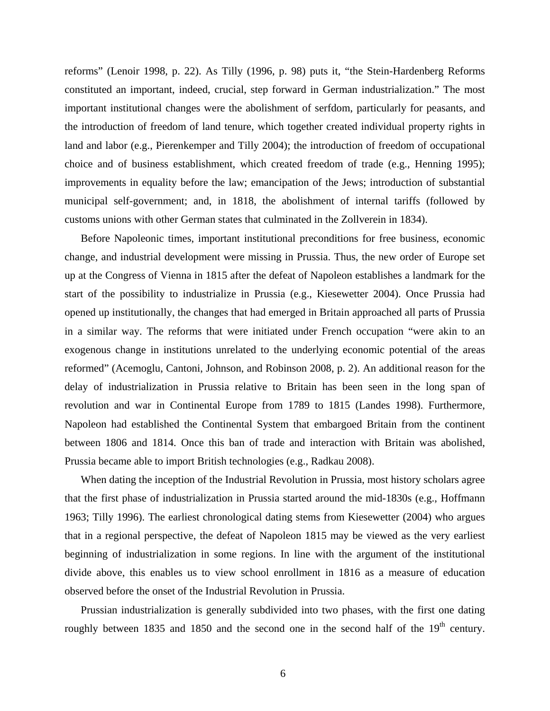reforms" (Lenoir 1998, p. 22). As Tilly (1996, p. 98) puts it, "the Stein-Hardenberg Reforms constituted an important, indeed, crucial, step forward in German industrialization." The most important institutional changes were the abolishment of serfdom, particularly for peasants, and the introduction of freedom of land tenure, which together created individual property rights in land and labor (e.g., Pierenkemper and Tilly 2004); the introduction of freedom of occupational choice and of business establishment, which created freedom of trade (e.g., Henning 1995); improvements in equality before the law; emancipation of the Jews; introduction of substantial municipal self-government; and, in 1818, the abolishment of internal tariffs (followed by customs unions with other German states that culminated in the Zollverein in 1834).

Before Napoleonic times, important institutional preconditions for free business, economic change, and industrial development were missing in Prussia. Thus, the new order of Europe set up at the Congress of Vienna in 1815 after the defeat of Napoleon establishes a landmark for the start of the possibility to industrialize in Prussia (e.g., Kiesewetter 2004). Once Prussia had opened up institutionally, the changes that had emerged in Britain approached all parts of Prussia in a similar way. The reforms that were initiated under French occupation "were akin to an exogenous change in institutions unrelated to the underlying economic potential of the areas reformed" (Acemoglu, Cantoni, Johnson, and Robinson 2008, p. 2). An additional reason for the delay of industrialization in Prussia relative to Britain has been seen in the long span of revolution and war in Continental Europe from 1789 to 1815 (Landes 1998). Furthermore, Napoleon had established the Continental System that embargoed Britain from the continent between 1806 and 1814. Once this ban of trade and interaction with Britain was abolished, Prussia became able to import British technologies (e.g., Radkau 2008).

When dating the inception of the Industrial Revolution in Prussia, most history scholars agree that the first phase of industrialization in Prussia started around the mid-1830s (e.g., Hoffmann 1963; Tilly 1996). The earliest chronological dating stems from Kiesewetter (2004) who argues that in a regional perspective, the defeat of Napoleon 1815 may be viewed as the very earliest beginning of industrialization in some regions. In line with the argument of the institutional divide above, this enables us to view school enrollment in 1816 as a measure of education observed before the onset of the Industrial Revolution in Prussia.

Prussian industrialization is generally subdivided into two phases, with the first one dating roughly between 1835 and 1850 and the second one in the second half of the 19<sup>th</sup> century.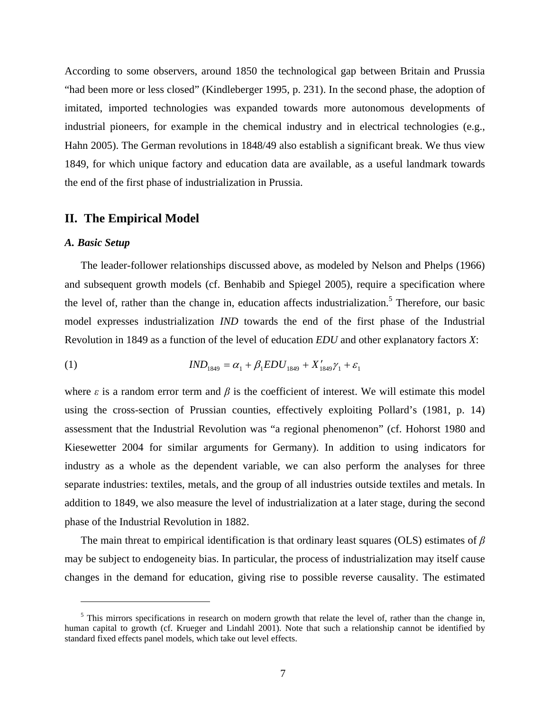According to some observers, around 1850 the technological gap between Britain and Prussia "had been more or less closed" (Kindleberger 1995, p. 231). In the second phase, the adoption of imitated, imported technologies was expanded towards more autonomous developments of industrial pioneers, for example in the chemical industry and in electrical technologies (e.g., Hahn 2005). The German revolutions in 1848/49 also establish a significant break. We thus view 1849, for which unique factory and education data are available, as a useful landmark towards the end of the first phase of industrialization in Prussia.

#### **II. The Empirical Model**

#### *A. Basic Setup*

 $\overline{a}$ 

The leader-follower relationships discussed above, as modeled by Nelson and Phelps (1966) and subsequent growth models (cf. Benhabib and Spiegel 2005), require a specification where the level of, rather than the change in, education affects industrialization.<sup>5</sup> Therefore, our basic model expresses industrialization *IND* towards the end of the first phase of the Industrial Revolution in 1849 as a function of the level of education *EDU* and other explanatory factors *X*:

(1) 
$$
IND_{1849} = \alpha_1 + \beta_1 EDU_{1849} + X'_{1849}\gamma_1 + \varepsilon_1
$$

where  $\varepsilon$  is a random error term and  $\beta$  is the coefficient of interest. We will estimate this model using the cross-section of Prussian counties, effectively exploiting Pollard's (1981, p. 14) assessment that the Industrial Revolution was "a regional phenomenon" (cf. Hohorst 1980 and Kiesewetter 2004 for similar arguments for Germany). In addition to using indicators for industry as a whole as the dependent variable, we can also perform the analyses for three separate industries: textiles, metals, and the group of all industries outside textiles and metals. In addition to 1849, we also measure the level of industrialization at a later stage, during the second phase of the Industrial Revolution in 1882.

The main threat to empirical identification is that ordinary least squares (OLS) estimates of *β* may be subject to endogeneity bias. In particular, the process of industrialization may itself cause changes in the demand for education, giving rise to possible reverse causality. The estimated

 $<sup>5</sup>$  This mirrors specifications in research on modern growth that relate the level of, rather than the change in,</sup> human capital to growth (cf. Krueger and Lindahl 2001). Note that such a relationship cannot be identified by standard fixed effects panel models, which take out level effects.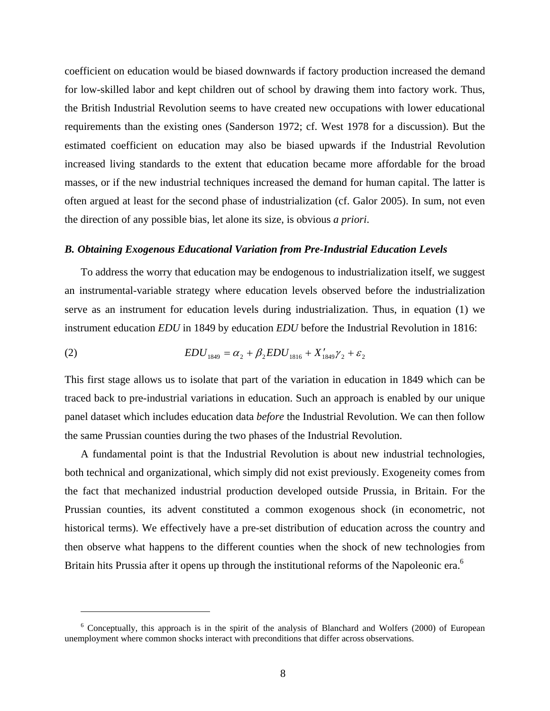coefficient on education would be biased downwards if factory production increased the demand for low-skilled labor and kept children out of school by drawing them into factory work. Thus, the British Industrial Revolution seems to have created new occupations with lower educational requirements than the existing ones (Sanderson 1972; cf. West 1978 for a discussion). But the estimated coefficient on education may also be biased upwards if the Industrial Revolution increased living standards to the extent that education became more affordable for the broad masses, or if the new industrial techniques increased the demand for human capital. The latter is often argued at least for the second phase of industrialization (cf. Galor 2005). In sum, not even the direction of any possible bias, let alone its size, is obvious *a priori*.

#### *B. Obtaining Exogenous Educational Variation from Pre-Industrial Education Levels*

To address the worry that education may be endogenous to industrialization itself, we suggest an instrumental-variable strategy where education levels observed before the industrialization serve as an instrument for education levels during industrialization. Thus, in equation (1) we instrument education *EDU* in 1849 by education *EDU* before the Industrial Revolution in 1816:

(2) 
$$
EDU_{1849} = \alpha_2 + \beta_2 EDU_{1816} + X'_{1849} \gamma_2 + \varepsilon_2
$$

1

This first stage allows us to isolate that part of the variation in education in 1849 which can be traced back to pre-industrial variations in education. Such an approach is enabled by our unique panel dataset which includes education data *before* the Industrial Revolution. We can then follow the same Prussian counties during the two phases of the Industrial Revolution.

A fundamental point is that the Industrial Revolution is about new industrial technologies, both technical and organizational, which simply did not exist previously. Exogeneity comes from the fact that mechanized industrial production developed outside Prussia, in Britain. For the Prussian counties, its advent constituted a common exogenous shock (in econometric, not historical terms). We effectively have a pre-set distribution of education across the country and then observe what happens to the different counties when the shock of new technologies from Britain hits Prussia after it opens up through the institutional reforms of the Napoleonic era.<sup>6</sup>

<sup>&</sup>lt;sup>6</sup> Conceptually, this approach is in the spirit of the analysis of Blanchard and Wolfers (2000) of European unemployment where common shocks interact with preconditions that differ across observations.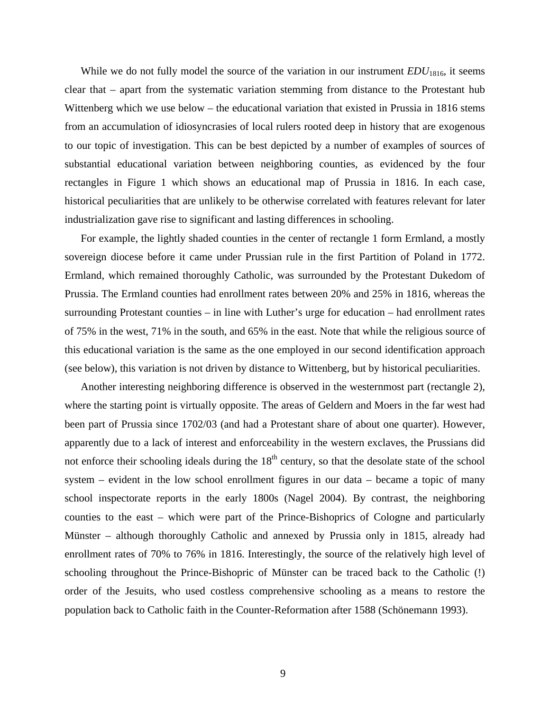While we do not fully model the source of the variation in our instrument *EDU*<sub>1816</sub>, it seems clear that – apart from the systematic variation stemming from distance to the Protestant hub Wittenberg which we use below – the educational variation that existed in Prussia in 1816 stems from an accumulation of idiosyncrasies of local rulers rooted deep in history that are exogenous to our topic of investigation. This can be best depicted by a number of examples of sources of substantial educational variation between neighboring counties, as evidenced by the four rectangles in Figure 1 which shows an educational map of Prussia in 1816. In each case, historical peculiarities that are unlikely to be otherwise correlated with features relevant for later industrialization gave rise to significant and lasting differences in schooling.

For example, the lightly shaded counties in the center of rectangle 1 form Ermland, a mostly sovereign diocese before it came under Prussian rule in the first Partition of Poland in 1772. Ermland, which remained thoroughly Catholic, was surrounded by the Protestant Dukedom of Prussia. The Ermland counties had enrollment rates between 20% and 25% in 1816, whereas the surrounding Protestant counties – in line with Luther's urge for education – had enrollment rates of 75% in the west, 71% in the south, and 65% in the east. Note that while the religious source of this educational variation is the same as the one employed in our second identification approach (see below), this variation is not driven by distance to Wittenberg, but by historical peculiarities.

Another interesting neighboring difference is observed in the westernmost part (rectangle 2), where the starting point is virtually opposite. The areas of Geldern and Moers in the far west had been part of Prussia since 1702/03 (and had a Protestant share of about one quarter). However, apparently due to a lack of interest and enforceability in the western exclaves, the Prussians did not enforce their schooling ideals during the  $18<sup>th</sup>$  century, so that the desolate state of the school system – evident in the low school enrollment figures in our data – became a topic of many school inspectorate reports in the early 1800s (Nagel 2004). By contrast, the neighboring counties to the east – which were part of the Prince-Bishoprics of Cologne and particularly Münster – although thoroughly Catholic and annexed by Prussia only in 1815, already had enrollment rates of 70% to 76% in 1816. Interestingly, the source of the relatively high level of schooling throughout the Prince-Bishopric of Münster can be traced back to the Catholic (!) order of the Jesuits, who used costless comprehensive schooling as a means to restore the population back to Catholic faith in the Counter-Reformation after 1588 (Schönemann 1993).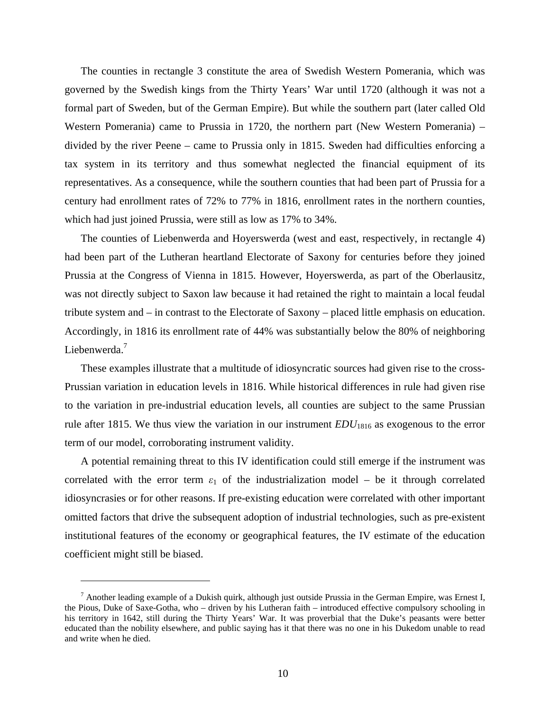The counties in rectangle 3 constitute the area of Swedish Western Pomerania, which was governed by the Swedish kings from the Thirty Years' War until 1720 (although it was not a formal part of Sweden, but of the German Empire). But while the southern part (later called Old Western Pomerania) came to Prussia in 1720, the northern part (New Western Pomerania) – divided by the river Peene – came to Prussia only in 1815. Sweden had difficulties enforcing a tax system in its territory and thus somewhat neglected the financial equipment of its representatives. As a consequence, while the southern counties that had been part of Prussia for a century had enrollment rates of 72% to 77% in 1816, enrollment rates in the northern counties, which had just joined Prussia, were still as low as 17% to 34%.

The counties of Liebenwerda and Hoyerswerda (west and east, respectively, in rectangle 4) had been part of the Lutheran heartland Electorate of Saxony for centuries before they joined Prussia at the Congress of Vienna in 1815. However, Hoyerswerda, as part of the Oberlausitz, was not directly subject to Saxon law because it had retained the right to maintain a local feudal tribute system and – in contrast to the Electorate of Saxony – placed little emphasis on education. Accordingly, in 1816 its enrollment rate of 44% was substantially below the 80% of neighboring Liebenwerda.<sup>7</sup>

These examples illustrate that a multitude of idiosyncratic sources had given rise to the cross-Prussian variation in education levels in 1816. While historical differences in rule had given rise to the variation in pre-industrial education levels, all counties are subject to the same Prussian rule after 1815. We thus view the variation in our instrument  $EDU_{1816}$  as exogenous to the error term of our model, corroborating instrument validity.

A potential remaining threat to this IV identification could still emerge if the instrument was correlated with the error term  $\varepsilon_1$  of the industrialization model – be it through correlated idiosyncrasies or for other reasons. If pre-existing education were correlated with other important omitted factors that drive the subsequent adoption of industrial technologies, such as pre-existent institutional features of the economy or geographical features, the IV estimate of the education coefficient might still be biased.

 $\overline{a}$ 

<sup>&</sup>lt;sup>7</sup> Another leading example of a Dukish quirk, although just outside Prussia in the German Empire, was Ernest I, the Pious, Duke of Saxe-Gotha, who – driven by his Lutheran faith – introduced effective compulsory schooling in his territory in 1642, still during the Thirty Years' War. It was proverbial that the Duke's peasants were better educated than the nobility elsewhere, and public saying has it that there was no one in his Dukedom unable to read and write when he died.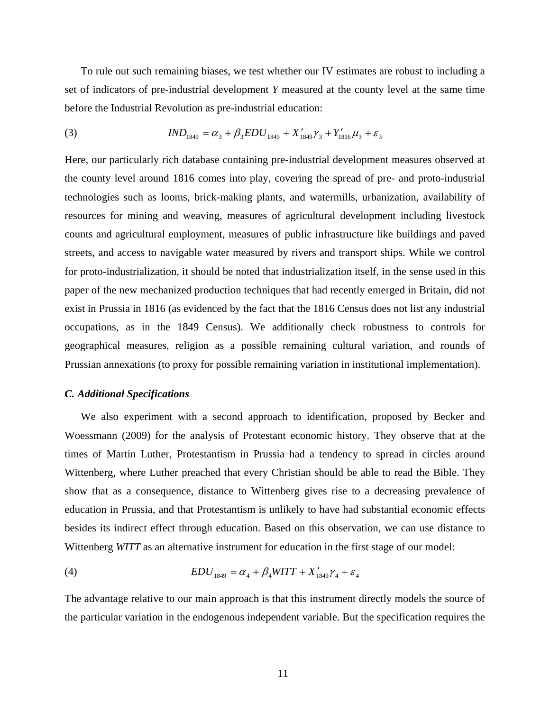To rule out such remaining biases, we test whether our IV estimates are robust to including a set of indicators of pre-industrial development *Y* measured at the county level at the same time before the Industrial Revolution as pre-industrial education:

(3) 
$$
IND_{1849} = \alpha_3 + \beta_3 EDU_{1849} + X'_{1849}\gamma_3 + Y'_{1816}\mu_3 + \varepsilon_3
$$

Here, our particularly rich database containing pre-industrial development measures observed at the county level around 1816 comes into play, covering the spread of pre- and proto-industrial technologies such as looms, brick-making plants, and watermills, urbanization, availability of resources for mining and weaving, measures of agricultural development including livestock counts and agricultural employment, measures of public infrastructure like buildings and paved streets, and access to navigable water measured by rivers and transport ships. While we control for proto-industrialization, it should be noted that industrialization itself, in the sense used in this paper of the new mechanized production techniques that had recently emerged in Britain, did not exist in Prussia in 1816 (as evidenced by the fact that the 1816 Census does not list any industrial occupations, as in the 1849 Census). We additionally check robustness to controls for geographical measures, religion as a possible remaining cultural variation, and rounds of Prussian annexations (to proxy for possible remaining variation in institutional implementation).

#### *C. Additional Specifications*

We also experiment with a second approach to identification, proposed by Becker and Woessmann (2009) for the analysis of Protestant economic history. They observe that at the times of Martin Luther, Protestantism in Prussia had a tendency to spread in circles around Wittenberg, where Luther preached that every Christian should be able to read the Bible. They show that as a consequence, distance to Wittenberg gives rise to a decreasing prevalence of education in Prussia, and that Protestantism is unlikely to have had substantial economic effects besides its indirect effect through education. Based on this observation, we can use distance to Wittenberg *WITT* as an alternative instrument for education in the first stage of our model:

(4) 
$$
EDU_{1849} = \alpha_4 + \beta_4 WITT + X'_{1849} \gamma_4 + \varepsilon_4
$$

The advantage relative to our main approach is that this instrument directly models the source of the particular variation in the endogenous independent variable. But the specification requires the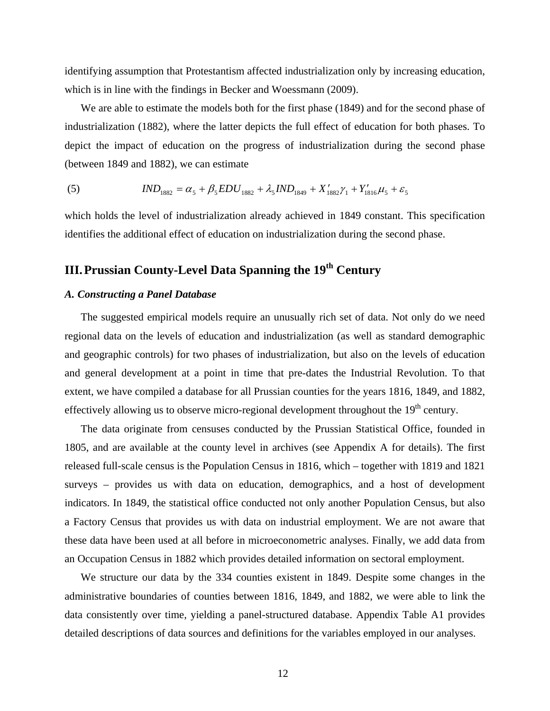identifying assumption that Protestantism affected industrialization only by increasing education, which is in line with the findings in Becker and Woessmann (2009).

We are able to estimate the models both for the first phase (1849) and for the second phase of industrialization (1882), where the latter depicts the full effect of education for both phases. To depict the impact of education on the progress of industrialization during the second phase (between 1849 and 1882), we can estimate

(5) 
$$
IND_{1882} = \alpha_5 + \beta_5 EDU_{1882} + \lambda_5 IND_{1849} + X'_{1882} \gamma_1 + Y'_{1816} \mu_5 + \varepsilon_5
$$

which holds the level of industrialization already achieved in 1849 constant. This specification identifies the additional effect of education on industrialization during the second phase.

# **III. Prussian County-Level Data Spanning the 19th Century**

#### *A. Constructing a Panel Database*

The suggested empirical models require an unusually rich set of data. Not only do we need regional data on the levels of education and industrialization (as well as standard demographic and geographic controls) for two phases of industrialization, but also on the levels of education and general development at a point in time that pre-dates the Industrial Revolution. To that extent, we have compiled a database for all Prussian counties for the years 1816, 1849, and 1882, effectively allowing us to observe micro-regional development throughout the 19<sup>th</sup> century.

The data originate from censuses conducted by the Prussian Statistical Office, founded in 1805, and are available at the county level in archives (see Appendix A for details). The first released full-scale census is the Population Census in 1816, which – together with 1819 and 1821 surveys – provides us with data on education, demographics, and a host of development indicators. In 1849, the statistical office conducted not only another Population Census, but also a Factory Census that provides us with data on industrial employment. We are not aware that these data have been used at all before in microeconometric analyses. Finally, we add data from an Occupation Census in 1882 which provides detailed information on sectoral employment.

We structure our data by the 334 counties existent in 1849. Despite some changes in the administrative boundaries of counties between 1816, 1849, and 1882, we were able to link the data consistently over time, yielding a panel-structured database. Appendix Table A1 provides detailed descriptions of data sources and definitions for the variables employed in our analyses.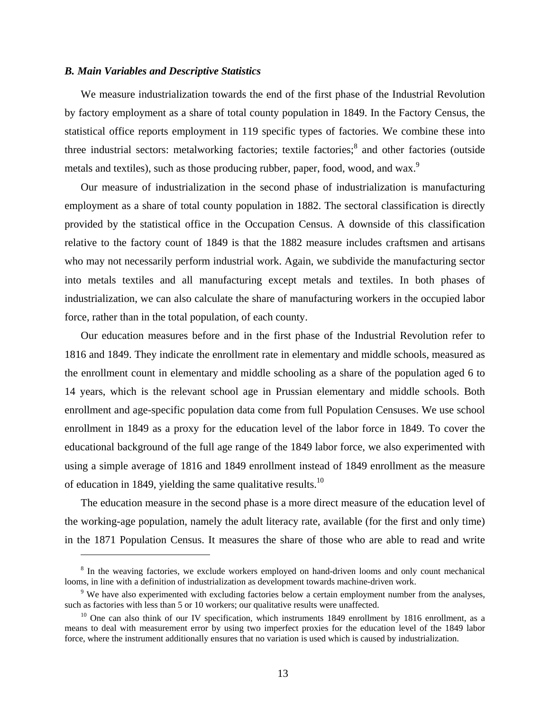#### *B. Main Variables and Descriptive Statistics*

 $\overline{a}$ 

We measure industrialization towards the end of the first phase of the Industrial Revolution by factory employment as a share of total county population in 1849. In the Factory Census, the statistical office reports employment in 119 specific types of factories. We combine these into three industrial sectors: metalworking factories; textile factories;<sup>8</sup> and other factories (outside metals and textiles), such as those producing rubber, paper, food, wood, and wax.<sup>9</sup>

Our measure of industrialization in the second phase of industrialization is manufacturing employment as a share of total county population in 1882. The sectoral classification is directly provided by the statistical office in the Occupation Census. A downside of this classification relative to the factory count of 1849 is that the 1882 measure includes craftsmen and artisans who may not necessarily perform industrial work. Again, we subdivide the manufacturing sector into metals textiles and all manufacturing except metals and textiles. In both phases of industrialization, we can also calculate the share of manufacturing workers in the occupied labor force, rather than in the total population, of each county.

Our education measures before and in the first phase of the Industrial Revolution refer to 1816 and 1849. They indicate the enrollment rate in elementary and middle schools, measured as the enrollment count in elementary and middle schooling as a share of the population aged 6 to 14 years, which is the relevant school age in Prussian elementary and middle schools. Both enrollment and age-specific population data come from full Population Censuses. We use school enrollment in 1849 as a proxy for the education level of the labor force in 1849. To cover the educational background of the full age range of the 1849 labor force, we also experimented with using a simple average of 1816 and 1849 enrollment instead of 1849 enrollment as the measure of education in 1849, yielding the same qualitative results.<sup>10</sup>

The education measure in the second phase is a more direct measure of the education level of the working-age population, namely the adult literacy rate, available (for the first and only time) in the 1871 Population Census. It measures the share of those who are able to read and write

<sup>&</sup>lt;sup>8</sup> In the weaving factories, we exclude workers employed on hand-driven looms and only count mechanical looms, in line with a definition of industrialization as development towards machine-driven work.

 $9$  We have also experimented with excluding factories below a certain employment number from the analyses, such as factories with less than 5 or 10 workers; our qualitative results were unaffected.

 $10$  One can also think of our IV specification, which instruments 1849 enrollment by 1816 enrollment, as a means to deal with measurement error by using two imperfect proxies for the education level of the 1849 labor force, where the instrument additionally ensures that no variation is used which is caused by industrialization.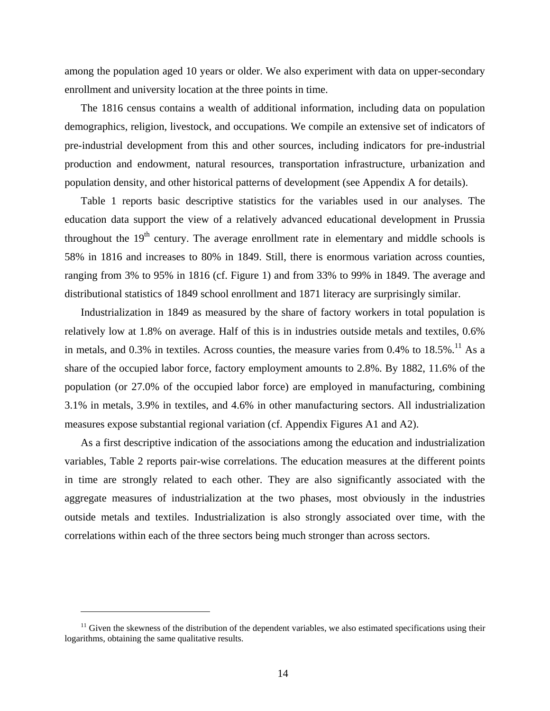among the population aged 10 years or older. We also experiment with data on upper-secondary enrollment and university location at the three points in time.

The 1816 census contains a wealth of additional information, including data on population demographics, religion, livestock, and occupations. We compile an extensive set of indicators of pre-industrial development from this and other sources, including indicators for pre-industrial production and endowment, natural resources, transportation infrastructure, urbanization and population density, and other historical patterns of development (see Appendix A for details).

Table 1 reports basic descriptive statistics for the variables used in our analyses. The education data support the view of a relatively advanced educational development in Prussia throughout the  $19<sup>th</sup>$  century. The average enrollment rate in elementary and middle schools is 58% in 1816 and increases to 80% in 1849. Still, there is enormous variation across counties, ranging from 3% to 95% in 1816 (cf. Figure 1) and from 33% to 99% in 1849. The average and distributional statistics of 1849 school enrollment and 1871 literacy are surprisingly similar.

Industrialization in 1849 as measured by the share of factory workers in total population is relatively low at 1.8% on average. Half of this is in industries outside metals and textiles, 0.6% in metals, and 0.3% in textiles. Across counties, the measure varies from 0.4% to  $18.5\%$ .<sup>11</sup> As a share of the occupied labor force, factory employment amounts to 2.8%. By 1882, 11.6% of the population (or 27.0% of the occupied labor force) are employed in manufacturing, combining 3.1% in metals, 3.9% in textiles, and 4.6% in other manufacturing sectors. All industrialization measures expose substantial regional variation (cf. Appendix Figures A1 and A2).

As a first descriptive indication of the associations among the education and industrialization variables, Table 2 reports pair-wise correlations. The education measures at the different points in time are strongly related to each other. They are also significantly associated with the aggregate measures of industrialization at the two phases, most obviously in the industries outside metals and textiles. Industrialization is also strongly associated over time, with the correlations within each of the three sectors being much stronger than across sectors.

1

 $11$  Given the skewness of the distribution of the dependent variables, we also estimated specifications using their logarithms, obtaining the same qualitative results.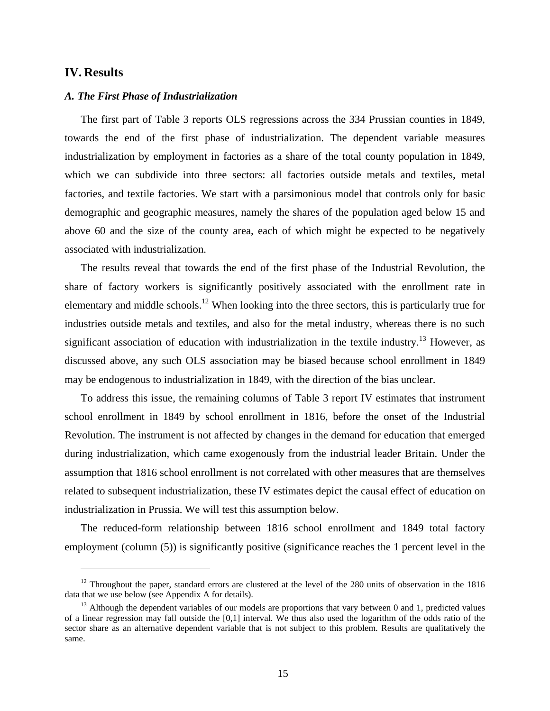#### **IV. Results**

 $\overline{a}$ 

#### *A. The First Phase of Industrialization*

The first part of Table 3 reports OLS regressions across the 334 Prussian counties in 1849, towards the end of the first phase of industrialization. The dependent variable measures industrialization by employment in factories as a share of the total county population in 1849, which we can subdivide into three sectors: all factories outside metals and textiles, metal factories, and textile factories. We start with a parsimonious model that controls only for basic demographic and geographic measures, namely the shares of the population aged below 15 and above 60 and the size of the county area, each of which might be expected to be negatively associated with industrialization.

The results reveal that towards the end of the first phase of the Industrial Revolution, the share of factory workers is significantly positively associated with the enrollment rate in elementary and middle schools.12 When looking into the three sectors, this is particularly true for industries outside metals and textiles, and also for the metal industry, whereas there is no such significant association of education with industrialization in the textile industry.<sup>13</sup> However, as discussed above, any such OLS association may be biased because school enrollment in 1849 may be endogenous to industrialization in 1849, with the direction of the bias unclear.

To address this issue, the remaining columns of Table 3 report IV estimates that instrument school enrollment in 1849 by school enrollment in 1816, before the onset of the Industrial Revolution. The instrument is not affected by changes in the demand for education that emerged during industrialization, which came exogenously from the industrial leader Britain. Under the assumption that 1816 school enrollment is not correlated with other measures that are themselves related to subsequent industrialization, these IV estimates depict the causal effect of education on industrialization in Prussia. We will test this assumption below.

The reduced-form relationship between 1816 school enrollment and 1849 total factory employment (column (5)) is significantly positive (significance reaches the 1 percent level in the

 $12$  Throughout the paper, standard errors are clustered at the level of the 280 units of observation in the 1816 data that we use below (see Appendix A for details).

<sup>&</sup>lt;sup>13</sup> Although the dependent variables of our models are proportions that vary between 0 and 1, predicted values of a linear regression may fall outside the [0,1] interval. We thus also used the logarithm of the odds ratio of the sector share as an alternative dependent variable that is not subject to this problem. Results are qualitatively the same.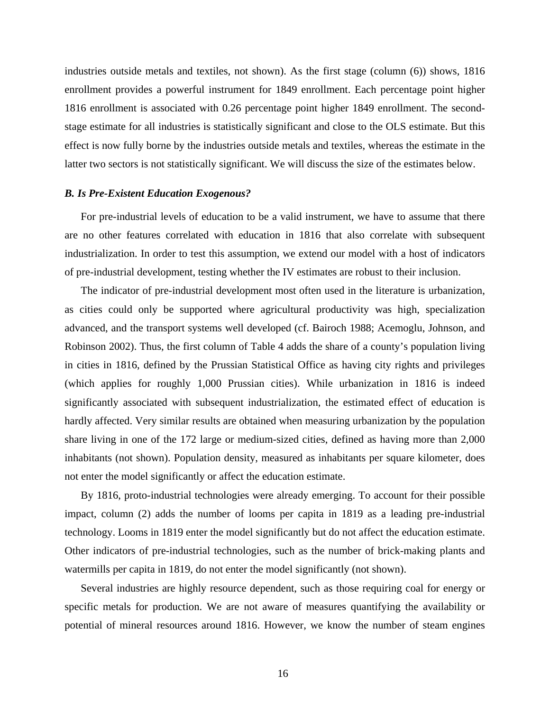industries outside metals and textiles, not shown). As the first stage (column (6)) shows, 1816 enrollment provides a powerful instrument for 1849 enrollment. Each percentage point higher 1816 enrollment is associated with 0.26 percentage point higher 1849 enrollment. The secondstage estimate for all industries is statistically significant and close to the OLS estimate. But this effect is now fully borne by the industries outside metals and textiles, whereas the estimate in the latter two sectors is not statistically significant. We will discuss the size of the estimates below.

#### *B. Is Pre-Existent Education Exogenous?*

For pre-industrial levels of education to be a valid instrument, we have to assume that there are no other features correlated with education in 1816 that also correlate with subsequent industrialization. In order to test this assumption, we extend our model with a host of indicators of pre-industrial development, testing whether the IV estimates are robust to their inclusion.

The indicator of pre-industrial development most often used in the literature is urbanization, as cities could only be supported where agricultural productivity was high, specialization advanced, and the transport systems well developed (cf. Bairoch 1988; Acemoglu, Johnson, and Robinson 2002). Thus, the first column of Table 4 adds the share of a county's population living in cities in 1816, defined by the Prussian Statistical Office as having city rights and privileges (which applies for roughly 1,000 Prussian cities). While urbanization in 1816 is indeed significantly associated with subsequent industrialization, the estimated effect of education is hardly affected. Very similar results are obtained when measuring urbanization by the population share living in one of the 172 large or medium-sized cities, defined as having more than 2,000 inhabitants (not shown). Population density, measured as inhabitants per square kilometer, does not enter the model significantly or affect the education estimate.

By 1816, proto-industrial technologies were already emerging. To account for their possible impact, column (2) adds the number of looms per capita in 1819 as a leading pre-industrial technology. Looms in 1819 enter the model significantly but do not affect the education estimate. Other indicators of pre-industrial technologies, such as the number of brick-making plants and watermills per capita in 1819, do not enter the model significantly (not shown).

Several industries are highly resource dependent, such as those requiring coal for energy or specific metals for production. We are not aware of measures quantifying the availability or potential of mineral resources around 1816. However, we know the number of steam engines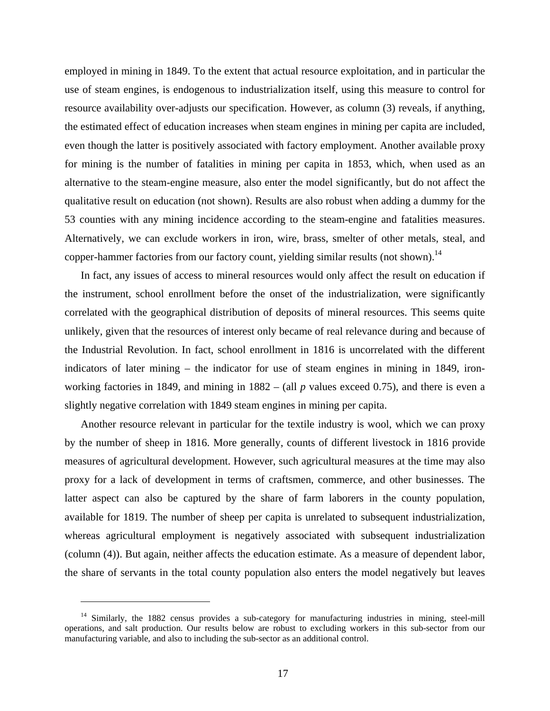employed in mining in 1849. To the extent that actual resource exploitation, and in particular the use of steam engines, is endogenous to industrialization itself, using this measure to control for resource availability over-adjusts our specification. However, as column (3) reveals, if anything, the estimated effect of education increases when steam engines in mining per capita are included, even though the latter is positively associated with factory employment. Another available proxy for mining is the number of fatalities in mining per capita in 1853, which, when used as an alternative to the steam-engine measure, also enter the model significantly, but do not affect the qualitative result on education (not shown). Results are also robust when adding a dummy for the 53 counties with any mining incidence according to the steam-engine and fatalities measures. Alternatively, we can exclude workers in iron, wire, brass, smelter of other metals, steal, and copper-hammer factories from our factory count, yielding similar results (not shown).<sup>14</sup>

In fact, any issues of access to mineral resources would only affect the result on education if the instrument, school enrollment before the onset of the industrialization, were significantly correlated with the geographical distribution of deposits of mineral resources. This seems quite unlikely, given that the resources of interest only became of real relevance during and because of the Industrial Revolution. In fact, school enrollment in 1816 is uncorrelated with the different indicators of later mining – the indicator for use of steam engines in mining in 1849, ironworking factories in 1849, and mining in 1882 – (all *p* values exceed 0.75), and there is even a slightly negative correlation with 1849 steam engines in mining per capita.

Another resource relevant in particular for the textile industry is wool, which we can proxy by the number of sheep in 1816. More generally, counts of different livestock in 1816 provide measures of agricultural development. However, such agricultural measures at the time may also proxy for a lack of development in terms of craftsmen, commerce, and other businesses. The latter aspect can also be captured by the share of farm laborers in the county population, available for 1819. The number of sheep per capita is unrelated to subsequent industrialization, whereas agricultural employment is negatively associated with subsequent industrialization (column (4)). But again, neither affects the education estimate. As a measure of dependent labor, the share of servants in the total county population also enters the model negatively but leaves

1

<sup>&</sup>lt;sup>14</sup> Similarly, the 1882 census provides a sub-category for manufacturing industries in mining, steel-mill operations, and salt production. Our results below are robust to excluding workers in this sub-sector from our manufacturing variable, and also to including the sub-sector as an additional control.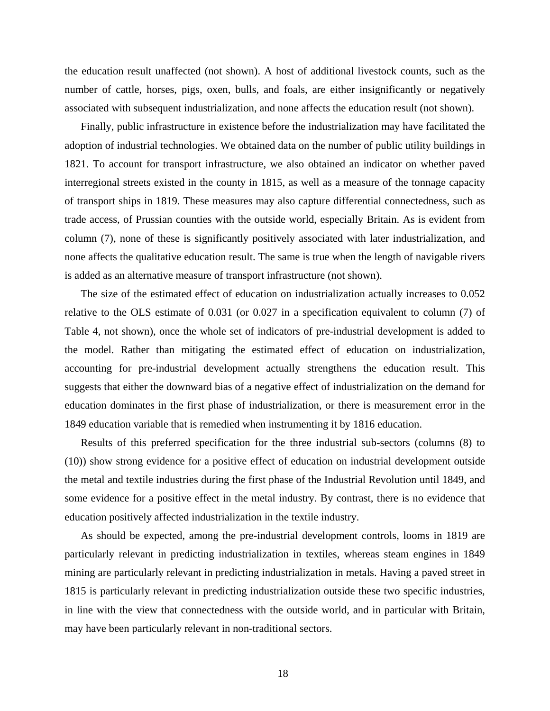the education result unaffected (not shown). A host of additional livestock counts, such as the number of cattle, horses, pigs, oxen, bulls, and foals, are either insignificantly or negatively associated with subsequent industrialization, and none affects the education result (not shown).

Finally, public infrastructure in existence before the industrialization may have facilitated the adoption of industrial technologies. We obtained data on the number of public utility buildings in 1821. To account for transport infrastructure, we also obtained an indicator on whether paved interregional streets existed in the county in 1815, as well as a measure of the tonnage capacity of transport ships in 1819. These measures may also capture differential connectedness, such as trade access, of Prussian counties with the outside world, especially Britain. As is evident from column (7), none of these is significantly positively associated with later industrialization, and none affects the qualitative education result. The same is true when the length of navigable rivers is added as an alternative measure of transport infrastructure (not shown).

The size of the estimated effect of education on industrialization actually increases to 0.052 relative to the OLS estimate of 0.031 (or 0.027 in a specification equivalent to column (7) of Table 4, not shown), once the whole set of indicators of pre-industrial development is added to the model. Rather than mitigating the estimated effect of education on industrialization, accounting for pre-industrial development actually strengthens the education result. This suggests that either the downward bias of a negative effect of industrialization on the demand for education dominates in the first phase of industrialization, or there is measurement error in the 1849 education variable that is remedied when instrumenting it by 1816 education.

Results of this preferred specification for the three industrial sub-sectors (columns (8) to (10)) show strong evidence for a positive effect of education on industrial development outside the metal and textile industries during the first phase of the Industrial Revolution until 1849, and some evidence for a positive effect in the metal industry. By contrast, there is no evidence that education positively affected industrialization in the textile industry.

As should be expected, among the pre-industrial development controls, looms in 1819 are particularly relevant in predicting industrialization in textiles, whereas steam engines in 1849 mining are particularly relevant in predicting industrialization in metals. Having a paved street in 1815 is particularly relevant in predicting industrialization outside these two specific industries, in line with the view that connectedness with the outside world, and in particular with Britain, may have been particularly relevant in non-traditional sectors.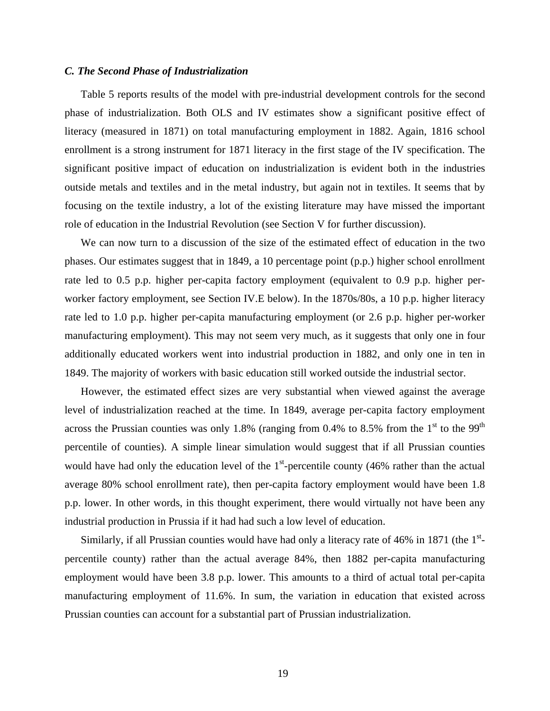#### *C. The Second Phase of Industrialization*

Table 5 reports results of the model with pre-industrial development controls for the second phase of industrialization. Both OLS and IV estimates show a significant positive effect of literacy (measured in 1871) on total manufacturing employment in 1882. Again, 1816 school enrollment is a strong instrument for 1871 literacy in the first stage of the IV specification. The significant positive impact of education on industrialization is evident both in the industries outside metals and textiles and in the metal industry, but again not in textiles. It seems that by focusing on the textile industry, a lot of the existing literature may have missed the important role of education in the Industrial Revolution (see Section V for further discussion).

We can now turn to a discussion of the size of the estimated effect of education in the two phases. Our estimates suggest that in 1849, a 10 percentage point (p.p.) higher school enrollment rate led to 0.5 p.p. higher per-capita factory employment (equivalent to 0.9 p.p. higher perworker factory employment, see Section IV.E below). In the 1870s/80s, a 10 p.p. higher literacy rate led to 1.0 p.p. higher per-capita manufacturing employment (or 2.6 p.p. higher per-worker manufacturing employment). This may not seem very much, as it suggests that only one in four additionally educated workers went into industrial production in 1882, and only one in ten in 1849. The majority of workers with basic education still worked outside the industrial sector.

However, the estimated effect sizes are very substantial when viewed against the average level of industrialization reached at the time. In 1849, average per-capita factory employment across the Prussian counties was only 1.8% (ranging from 0.4% to 8.5% from the  $1<sup>st</sup>$  to the 99<sup>th</sup> percentile of counties). A simple linear simulation would suggest that if all Prussian counties would have had only the education level of the  $1<sup>st</sup>$ -percentile county (46% rather than the actual average 80% school enrollment rate), then per-capita factory employment would have been 1.8 p.p. lower. In other words, in this thought experiment, there would virtually not have been any industrial production in Prussia if it had had such a low level of education.

Similarly, if all Prussian counties would have had only a literacy rate of 46% in 1871 (the  $1<sup>st</sup>$ percentile county) rather than the actual average 84%, then 1882 per-capita manufacturing employment would have been 3.8 p.p. lower. This amounts to a third of actual total per-capita manufacturing employment of 11.6%. In sum, the variation in education that existed across Prussian counties can account for a substantial part of Prussian industrialization.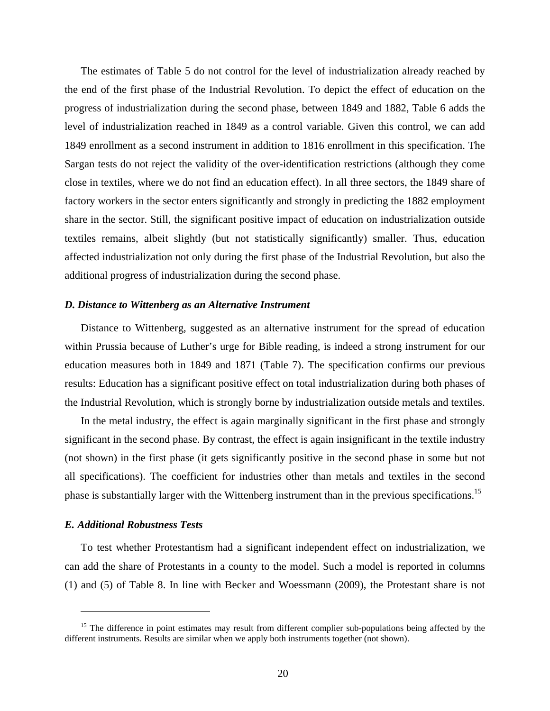The estimates of Table 5 do not control for the level of industrialization already reached by the end of the first phase of the Industrial Revolution. To depict the effect of education on the progress of industrialization during the second phase, between 1849 and 1882, Table 6 adds the level of industrialization reached in 1849 as a control variable. Given this control, we can add 1849 enrollment as a second instrument in addition to 1816 enrollment in this specification. The Sargan tests do not reject the validity of the over-identification restrictions (although they come close in textiles, where we do not find an education effect). In all three sectors, the 1849 share of factory workers in the sector enters significantly and strongly in predicting the 1882 employment share in the sector. Still, the significant positive impact of education on industrialization outside textiles remains, albeit slightly (but not statistically significantly) smaller. Thus, education affected industrialization not only during the first phase of the Industrial Revolution, but also the additional progress of industrialization during the second phase.

#### *D. Distance to Wittenberg as an Alternative Instrument*

Distance to Wittenberg, suggested as an alternative instrument for the spread of education within Prussia because of Luther's urge for Bible reading, is indeed a strong instrument for our education measures both in 1849 and 1871 (Table 7). The specification confirms our previous results: Education has a significant positive effect on total industrialization during both phases of the Industrial Revolution, which is strongly borne by industrialization outside metals and textiles.

In the metal industry, the effect is again marginally significant in the first phase and strongly significant in the second phase. By contrast, the effect is again insignificant in the textile industry (not shown) in the first phase (it gets significantly positive in the second phase in some but not all specifications). The coefficient for industries other than metals and textiles in the second phase is substantially larger with the Wittenberg instrument than in the previous specifications.<sup>15</sup>

#### *E. Additional Robustness Tests*

1

To test whether Protestantism had a significant independent effect on industrialization, we can add the share of Protestants in a county to the model. Such a model is reported in columns (1) and (5) of Table 8. In line with Becker and Woessmann (2009), the Protestant share is not

<sup>&</sup>lt;sup>15</sup> The difference in point estimates may result from different complier sub-populations being affected by the different instruments. Results are similar when we apply both instruments together (not shown).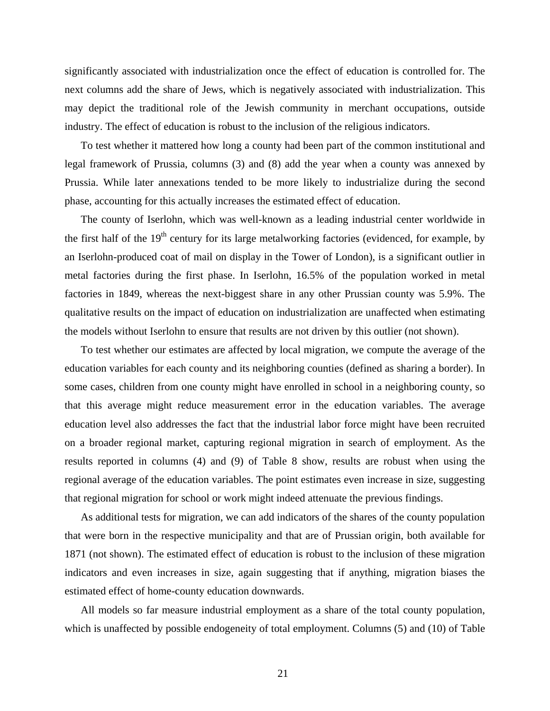significantly associated with industrialization once the effect of education is controlled for. The next columns add the share of Jews, which is negatively associated with industrialization. This may depict the traditional role of the Jewish community in merchant occupations, outside industry. The effect of education is robust to the inclusion of the religious indicators.

To test whether it mattered how long a county had been part of the common institutional and legal framework of Prussia, columns (3) and (8) add the year when a county was annexed by Prussia. While later annexations tended to be more likely to industrialize during the second phase, accounting for this actually increases the estimated effect of education.

The county of Iserlohn, which was well-known as a leading industrial center worldwide in the first half of the  $19<sup>th</sup>$  century for its large metalworking factories (evidenced, for example, by an Iserlohn-produced coat of mail on display in the Tower of London), is a significant outlier in metal factories during the first phase. In Iserlohn, 16.5% of the population worked in metal factories in 1849, whereas the next-biggest share in any other Prussian county was 5.9%. The qualitative results on the impact of education on industrialization are unaffected when estimating the models without Iserlohn to ensure that results are not driven by this outlier (not shown).

To test whether our estimates are affected by local migration, we compute the average of the education variables for each county and its neighboring counties (defined as sharing a border). In some cases, children from one county might have enrolled in school in a neighboring county, so that this average might reduce measurement error in the education variables. The average education level also addresses the fact that the industrial labor force might have been recruited on a broader regional market, capturing regional migration in search of employment. As the results reported in columns (4) and (9) of Table 8 show, results are robust when using the regional average of the education variables. The point estimates even increase in size, suggesting that regional migration for school or work might indeed attenuate the previous findings.

As additional tests for migration, we can add indicators of the shares of the county population that were born in the respective municipality and that are of Prussian origin, both available for 1871 (not shown). The estimated effect of education is robust to the inclusion of these migration indicators and even increases in size, again suggesting that if anything, migration biases the estimated effect of home-county education downwards.

All models so far measure industrial employment as a share of the total county population, which is unaffected by possible endogeneity of total employment. Columns (5) and (10) of Table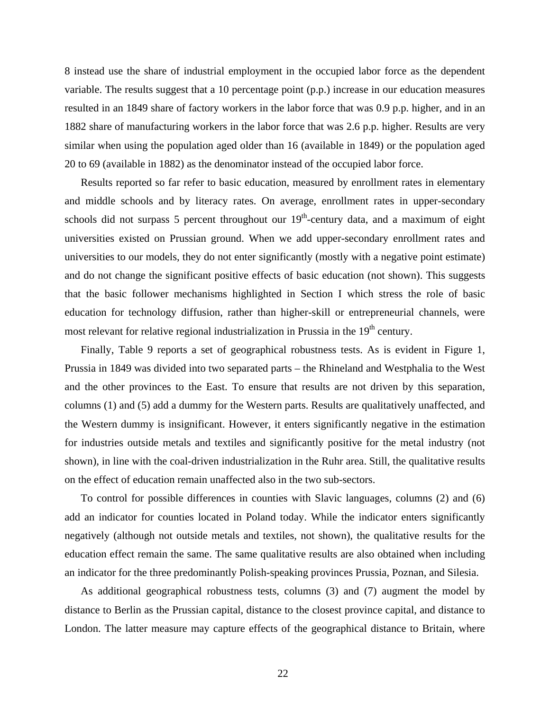8 instead use the share of industrial employment in the occupied labor force as the dependent variable. The results suggest that a 10 percentage point (p.p.) increase in our education measures resulted in an 1849 share of factory workers in the labor force that was 0.9 p.p. higher, and in an 1882 share of manufacturing workers in the labor force that was 2.6 p.p. higher. Results are very similar when using the population aged older than 16 (available in 1849) or the population aged 20 to 69 (available in 1882) as the denominator instead of the occupied labor force.

Results reported so far refer to basic education, measured by enrollment rates in elementary and middle schools and by literacy rates. On average, enrollment rates in upper-secondary schools did not surpass 5 percent throughout our  $19<sup>th</sup>$ -century data, and a maximum of eight universities existed on Prussian ground. When we add upper-secondary enrollment rates and universities to our models, they do not enter significantly (mostly with a negative point estimate) and do not change the significant positive effects of basic education (not shown). This suggests that the basic follower mechanisms highlighted in Section I which stress the role of basic education for technology diffusion, rather than higher-skill or entrepreneurial channels, were most relevant for relative regional industrialization in Prussia in the  $19<sup>th</sup>$  century.

Finally, Table 9 reports a set of geographical robustness tests. As is evident in Figure 1, Prussia in 1849 was divided into two separated parts – the Rhineland and Westphalia to the West and the other provinces to the East. To ensure that results are not driven by this separation, columns (1) and (5) add a dummy for the Western parts. Results are qualitatively unaffected, and the Western dummy is insignificant. However, it enters significantly negative in the estimation for industries outside metals and textiles and significantly positive for the metal industry (not shown), in line with the coal-driven industrialization in the Ruhr area. Still, the qualitative results on the effect of education remain unaffected also in the two sub-sectors.

To control for possible differences in counties with Slavic languages, columns (2) and (6) add an indicator for counties located in Poland today. While the indicator enters significantly negatively (although not outside metals and textiles, not shown), the qualitative results for the education effect remain the same. The same qualitative results are also obtained when including an indicator for the three predominantly Polish-speaking provinces Prussia, Poznan, and Silesia.

As additional geographical robustness tests, columns (3) and (7) augment the model by distance to Berlin as the Prussian capital, distance to the closest province capital, and distance to London. The latter measure may capture effects of the geographical distance to Britain, where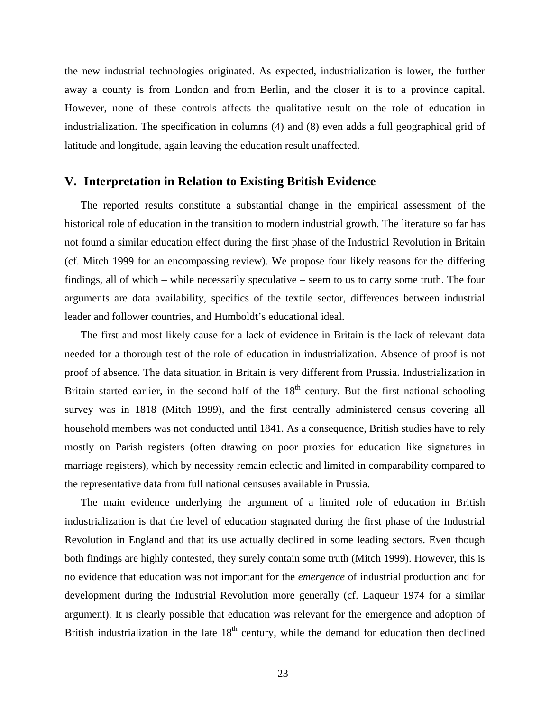the new industrial technologies originated. As expected, industrialization is lower, the further away a county is from London and from Berlin, and the closer it is to a province capital. However, none of these controls affects the qualitative result on the role of education in industrialization. The specification in columns (4) and (8) even adds a full geographical grid of latitude and longitude, again leaving the education result unaffected.

#### **V. Interpretation in Relation to Existing British Evidence**

The reported results constitute a substantial change in the empirical assessment of the historical role of education in the transition to modern industrial growth. The literature so far has not found a similar education effect during the first phase of the Industrial Revolution in Britain (cf. Mitch 1999 for an encompassing review). We propose four likely reasons for the differing findings, all of which – while necessarily speculative – seem to us to carry some truth. The four arguments are data availability, specifics of the textile sector, differences between industrial leader and follower countries, and Humboldt's educational ideal.

The first and most likely cause for a lack of evidence in Britain is the lack of relevant data needed for a thorough test of the role of education in industrialization. Absence of proof is not proof of absence. The data situation in Britain is very different from Prussia. Industrialization in Britain started earlier, in the second half of the  $18<sup>th</sup>$  century. But the first national schooling survey was in 1818 (Mitch 1999), and the first centrally administered census covering all household members was not conducted until 1841. As a consequence, British studies have to rely mostly on Parish registers (often drawing on poor proxies for education like signatures in marriage registers), which by necessity remain eclectic and limited in comparability compared to the representative data from full national censuses available in Prussia.

The main evidence underlying the argument of a limited role of education in British industrialization is that the level of education stagnated during the first phase of the Industrial Revolution in England and that its use actually declined in some leading sectors. Even though both findings are highly contested, they surely contain some truth (Mitch 1999). However, this is no evidence that education was not important for the *emergence* of industrial production and for development during the Industrial Revolution more generally (cf. Laqueur 1974 for a similar argument). It is clearly possible that education was relevant for the emergence and adoption of British industrialization in the late  $18<sup>th</sup>$  century, while the demand for education then declined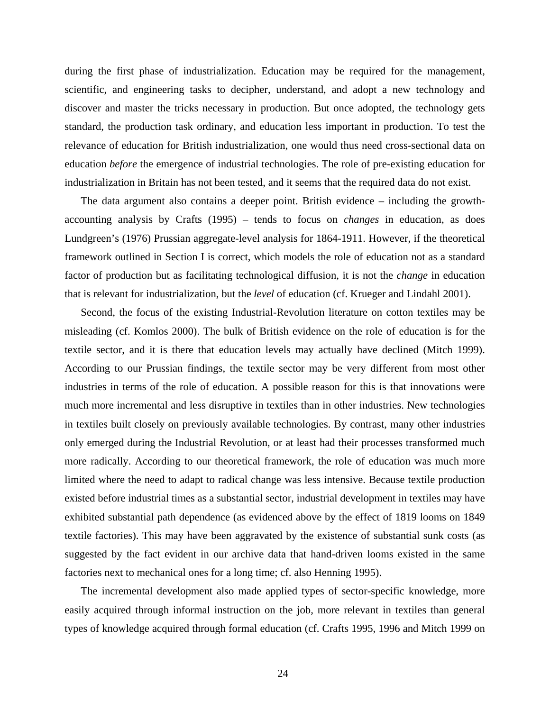during the first phase of industrialization. Education may be required for the management, scientific, and engineering tasks to decipher, understand, and adopt a new technology and discover and master the tricks necessary in production. But once adopted, the technology gets standard, the production task ordinary, and education less important in production. To test the relevance of education for British industrialization, one would thus need cross-sectional data on education *before* the emergence of industrial technologies. The role of pre-existing education for industrialization in Britain has not been tested, and it seems that the required data do not exist.

The data argument also contains a deeper point. British evidence – including the growthaccounting analysis by Crafts (1995) – tends to focus on *changes* in education, as does Lundgreen's (1976) Prussian aggregate-level analysis for 1864-1911. However, if the theoretical framework outlined in Section I is correct, which models the role of education not as a standard factor of production but as facilitating technological diffusion, it is not the *change* in education that is relevant for industrialization, but the *level* of education (cf. Krueger and Lindahl 2001).

Second, the focus of the existing Industrial-Revolution literature on cotton textiles may be misleading (cf. Komlos 2000). The bulk of British evidence on the role of education is for the textile sector, and it is there that education levels may actually have declined (Mitch 1999). According to our Prussian findings, the textile sector may be very different from most other industries in terms of the role of education. A possible reason for this is that innovations were much more incremental and less disruptive in textiles than in other industries. New technologies in textiles built closely on previously available technologies. By contrast, many other industries only emerged during the Industrial Revolution, or at least had their processes transformed much more radically. According to our theoretical framework, the role of education was much more limited where the need to adapt to radical change was less intensive. Because textile production existed before industrial times as a substantial sector, industrial development in textiles may have exhibited substantial path dependence (as evidenced above by the effect of 1819 looms on 1849 textile factories). This may have been aggravated by the existence of substantial sunk costs (as suggested by the fact evident in our archive data that hand-driven looms existed in the same factories next to mechanical ones for a long time; cf. also Henning 1995).

The incremental development also made applied types of sector-specific knowledge, more easily acquired through informal instruction on the job, more relevant in textiles than general types of knowledge acquired through formal education (cf. Crafts 1995, 1996 and Mitch 1999 on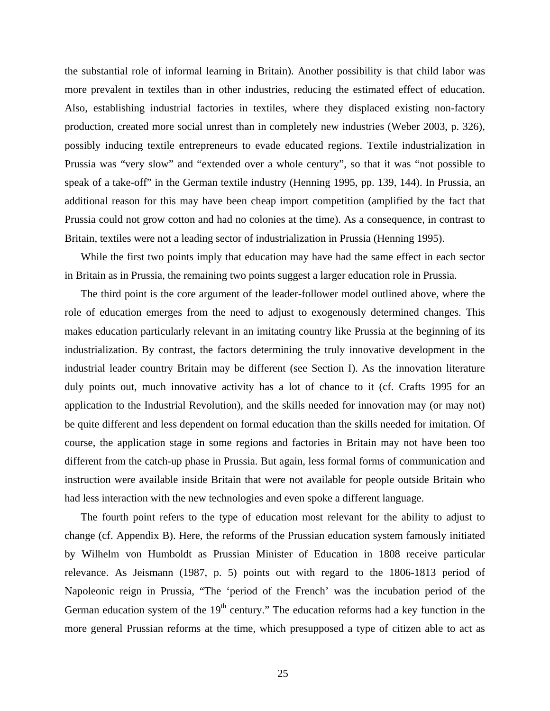the substantial role of informal learning in Britain). Another possibility is that child labor was more prevalent in textiles than in other industries, reducing the estimated effect of education. Also, establishing industrial factories in textiles, where they displaced existing non-factory production, created more social unrest than in completely new industries (Weber 2003, p. 326), possibly inducing textile entrepreneurs to evade educated regions. Textile industrialization in Prussia was "very slow" and "extended over a whole century", so that it was "not possible to speak of a take-off" in the German textile industry (Henning 1995, pp. 139, 144). In Prussia, an additional reason for this may have been cheap import competition (amplified by the fact that Prussia could not grow cotton and had no colonies at the time). As a consequence, in contrast to Britain, textiles were not a leading sector of industrialization in Prussia (Henning 1995).

While the first two points imply that education may have had the same effect in each sector in Britain as in Prussia, the remaining two points suggest a larger education role in Prussia.

The third point is the core argument of the leader-follower model outlined above, where the role of education emerges from the need to adjust to exogenously determined changes. This makes education particularly relevant in an imitating country like Prussia at the beginning of its industrialization. By contrast, the factors determining the truly innovative development in the industrial leader country Britain may be different (see Section I). As the innovation literature duly points out, much innovative activity has a lot of chance to it (cf. Crafts 1995 for an application to the Industrial Revolution), and the skills needed for innovation may (or may not) be quite different and less dependent on formal education than the skills needed for imitation. Of course, the application stage in some regions and factories in Britain may not have been too different from the catch-up phase in Prussia. But again, less formal forms of communication and instruction were available inside Britain that were not available for people outside Britain who had less interaction with the new technologies and even spoke a different language.

The fourth point refers to the type of education most relevant for the ability to adjust to change (cf. Appendix B). Here, the reforms of the Prussian education system famously initiated by Wilhelm von Humboldt as Prussian Minister of Education in 1808 receive particular relevance. As Jeismann (1987, p. 5) points out with regard to the 1806-1813 period of Napoleonic reign in Prussia, "The 'period of the French' was the incubation period of the German education system of the  $19<sup>th</sup>$  century." The education reforms had a key function in the more general Prussian reforms at the time, which presupposed a type of citizen able to act as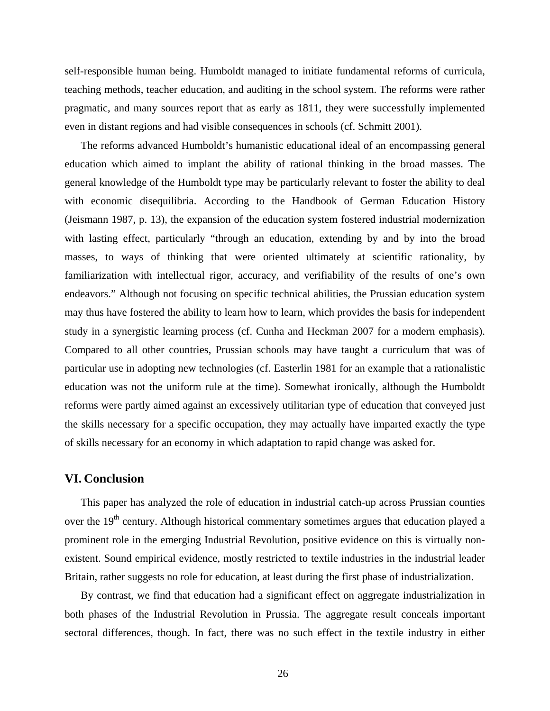self-responsible human being. Humboldt managed to initiate fundamental reforms of curricula, teaching methods, teacher education, and auditing in the school system. The reforms were rather pragmatic, and many sources report that as early as 1811, they were successfully implemented even in distant regions and had visible consequences in schools (cf. Schmitt 2001).

The reforms advanced Humboldt's humanistic educational ideal of an encompassing general education which aimed to implant the ability of rational thinking in the broad masses. The general knowledge of the Humboldt type may be particularly relevant to foster the ability to deal with economic disequilibria. According to the Handbook of German Education History (Jeismann 1987, p. 13), the expansion of the education system fostered industrial modernization with lasting effect, particularly "through an education, extending by and by into the broad masses, to ways of thinking that were oriented ultimately at scientific rationality, by familiarization with intellectual rigor, accuracy, and verifiability of the results of one's own endeavors." Although not focusing on specific technical abilities, the Prussian education system may thus have fostered the ability to learn how to learn, which provides the basis for independent study in a synergistic learning process (cf. Cunha and Heckman 2007 for a modern emphasis). Compared to all other countries, Prussian schools may have taught a curriculum that was of particular use in adopting new technologies (cf. Easterlin 1981 for an example that a rationalistic education was not the uniform rule at the time). Somewhat ironically, although the Humboldt reforms were partly aimed against an excessively utilitarian type of education that conveyed just the skills necessary for a specific occupation, they may actually have imparted exactly the type of skills necessary for an economy in which adaptation to rapid change was asked for.

#### **VI. Conclusion**

This paper has analyzed the role of education in industrial catch-up across Prussian counties over the 19<sup>th</sup> century. Although historical commentary sometimes argues that education played a prominent role in the emerging Industrial Revolution, positive evidence on this is virtually nonexistent. Sound empirical evidence, mostly restricted to textile industries in the industrial leader Britain, rather suggests no role for education, at least during the first phase of industrialization.

By contrast, we find that education had a significant effect on aggregate industrialization in both phases of the Industrial Revolution in Prussia. The aggregate result conceals important sectoral differences, though. In fact, there was no such effect in the textile industry in either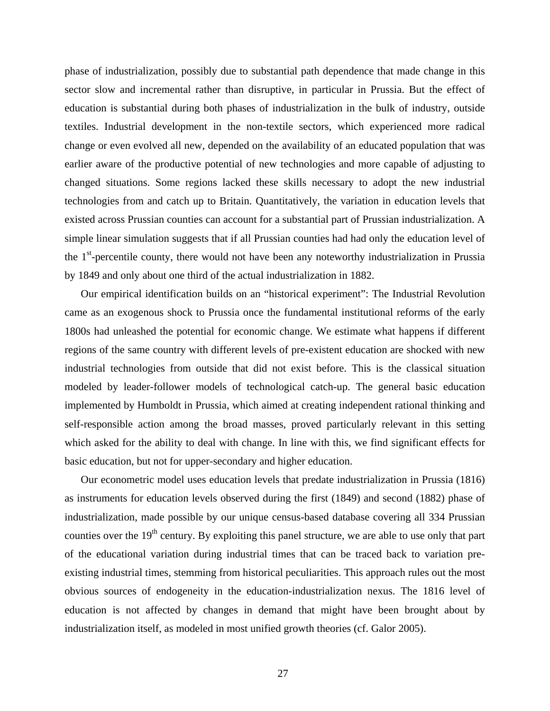phase of industrialization, possibly due to substantial path dependence that made change in this sector slow and incremental rather than disruptive, in particular in Prussia. But the effect of education is substantial during both phases of industrialization in the bulk of industry, outside textiles. Industrial development in the non-textile sectors, which experienced more radical change or even evolved all new, depended on the availability of an educated population that was earlier aware of the productive potential of new technologies and more capable of adjusting to changed situations. Some regions lacked these skills necessary to adopt the new industrial technologies from and catch up to Britain. Quantitatively, the variation in education levels that existed across Prussian counties can account for a substantial part of Prussian industrialization. A simple linear simulation suggests that if all Prussian counties had had only the education level of the  $1<sup>st</sup>$ -percentile county, there would not have been any noteworthy industrialization in Prussia by 1849 and only about one third of the actual industrialization in 1882.

Our empirical identification builds on an "historical experiment": The Industrial Revolution came as an exogenous shock to Prussia once the fundamental institutional reforms of the early 1800s had unleashed the potential for economic change. We estimate what happens if different regions of the same country with different levels of pre-existent education are shocked with new industrial technologies from outside that did not exist before. This is the classical situation modeled by leader-follower models of technological catch-up. The general basic education implemented by Humboldt in Prussia, which aimed at creating independent rational thinking and self-responsible action among the broad masses, proved particularly relevant in this setting which asked for the ability to deal with change. In line with this, we find significant effects for basic education, but not for upper-secondary and higher education.

Our econometric model uses education levels that predate industrialization in Prussia (1816) as instruments for education levels observed during the first (1849) and second (1882) phase of industrialization, made possible by our unique census-based database covering all 334 Prussian counties over the  $19<sup>th</sup>$  century. By exploiting this panel structure, we are able to use only that part of the educational variation during industrial times that can be traced back to variation preexisting industrial times, stemming from historical peculiarities. This approach rules out the most obvious sources of endogeneity in the education-industrialization nexus. The 1816 level of education is not affected by changes in demand that might have been brought about by industrialization itself, as modeled in most unified growth theories (cf. Galor 2005).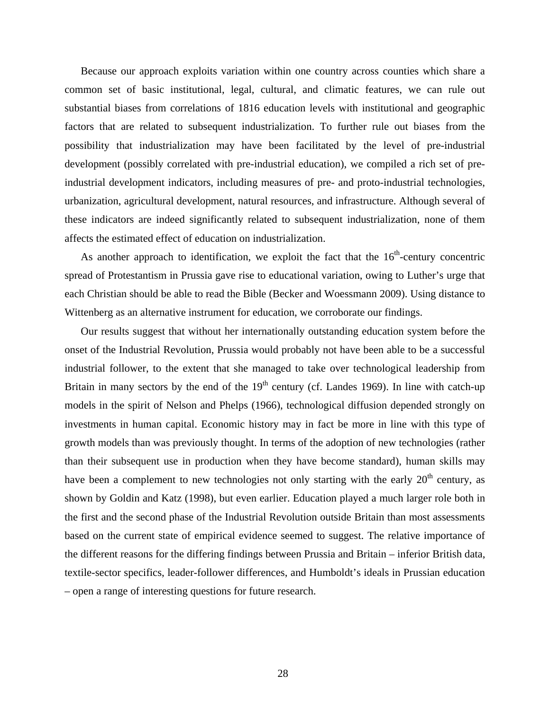Because our approach exploits variation within one country across counties which share a common set of basic institutional, legal, cultural, and climatic features, we can rule out substantial biases from correlations of 1816 education levels with institutional and geographic factors that are related to subsequent industrialization. To further rule out biases from the possibility that industrialization may have been facilitated by the level of pre-industrial development (possibly correlated with pre-industrial education), we compiled a rich set of preindustrial development indicators, including measures of pre- and proto-industrial technologies, urbanization, agricultural development, natural resources, and infrastructure. Although several of these indicators are indeed significantly related to subsequent industrialization, none of them affects the estimated effect of education on industrialization.

As another approach to identification, we exploit the fact that the  $16<sup>th</sup>$ -century concentric spread of Protestantism in Prussia gave rise to educational variation, owing to Luther's urge that each Christian should be able to read the Bible (Becker and Woessmann 2009). Using distance to Wittenberg as an alternative instrument for education, we corroborate our findings.

Our results suggest that without her internationally outstanding education system before the onset of the Industrial Revolution, Prussia would probably not have been able to be a successful industrial follower, to the extent that she managed to take over technological leadership from Britain in many sectors by the end of the  $19<sup>th</sup>$  century (cf. Landes 1969). In line with catch-up models in the spirit of Nelson and Phelps (1966), technological diffusion depended strongly on investments in human capital. Economic history may in fact be more in line with this type of growth models than was previously thought. In terms of the adoption of new technologies (rather than their subsequent use in production when they have become standard), human skills may have been a complement to new technologies not only starting with the early  $20<sup>th</sup>$  century, as shown by Goldin and Katz (1998), but even earlier. Education played a much larger role both in the first and the second phase of the Industrial Revolution outside Britain than most assessments based on the current state of empirical evidence seemed to suggest. The relative importance of the different reasons for the differing findings between Prussia and Britain – inferior British data, textile-sector specifics, leader-follower differences, and Humboldt's ideals in Prussian education – open a range of interesting questions for future research.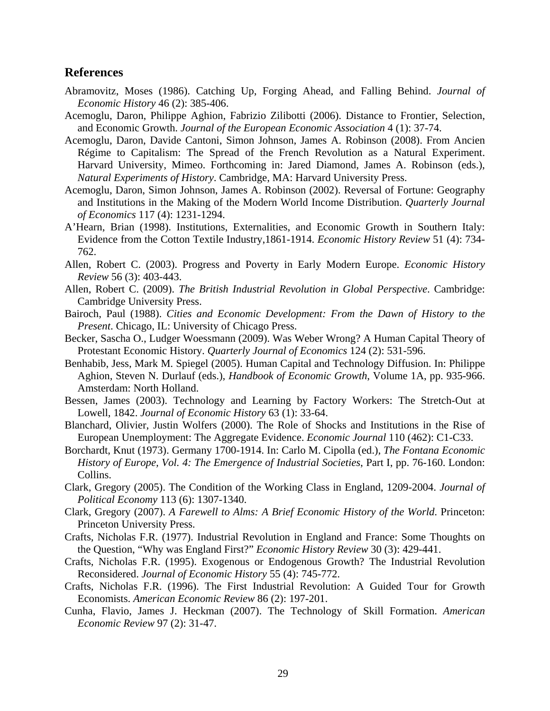#### **References**

- Abramovitz, Moses (1986). Catching Up, Forging Ahead, and Falling Behind. *Journal of Economic History* 46 (2): 385-406.
- Acemoglu, Daron, Philippe Aghion, Fabrizio Zilibotti (2006). Distance to Frontier, Selection, and Economic Growth. *Journal of the European Economic Association* 4 (1): 37-74.
- Acemoglu, Daron, Davide Cantoni, Simon Johnson, James A. Robinson (2008). From Ancien Régime to Capitalism: The Spread of the French Revolution as a Natural Experiment. Harvard University, Mimeo. Forthcoming in: Jared Diamond, James A. Robinson (eds.), *Natural Experiments of History*. Cambridge, MA: Harvard University Press.
- Acemoglu, Daron, Simon Johnson, James A. Robinson (2002). Reversal of Fortune: Geography and Institutions in the Making of the Modern World Income Distribution. *Quarterly Journal of Economics* 117 (4): 1231-1294.
- A'Hearn, Brian (1998). Institutions, Externalities, and Economic Growth in Southern Italy: Evidence from the Cotton Textile Industry,1861-1914. *Economic History Review* 51 (4): 734- 762.
- Allen, Robert C. (2003). Progress and Poverty in Early Modern Europe. *Economic History Review* 56 (3): 403-443.
- Allen, Robert C. (2009). *The British Industrial Revolution in Global Perspective*. Cambridge: Cambridge University Press.
- Bairoch, Paul (1988). *Cities and Economic Development: From the Dawn of History to the Present*. Chicago, IL: University of Chicago Press.
- Becker, Sascha O., Ludger Woessmann (2009). Was Weber Wrong? A Human Capital Theory of Protestant Economic History. *Quarterly Journal of Economics* 124 (2): 531-596.
- Benhabib, Jess, Mark M. Spiegel (2005). Human Capital and Technology Diffusion. In: Philippe Aghion, Steven N. Durlauf (eds.), *Handbook of Economic Growth*, Volume 1A, pp. 935-966. Amsterdam: North Holland.
- Bessen, James (2003). Technology and Learning by Factory Workers: The Stretch-Out at Lowell, 1842. *Journal of Economic History* 63 (1): 33-64.
- Blanchard, Olivier, Justin Wolfers (2000). The Role of Shocks and Institutions in the Rise of European Unemployment: The Aggregate Evidence. *Economic Journal* 110 (462): C1-C33.
- Borchardt, Knut (1973). Germany 1700-1914. In: Carlo M. Cipolla (ed.), *The Fontana Economic History of Europe, Vol. 4: The Emergence of Industrial Societies*, Part I, pp. 76-160. London: Collins.
- Clark, Gregory (2005). The Condition of the Working Class in England, 1209-2004. *Journal of Political Economy* 113 (6): 1307-1340.
- Clark, Gregory (2007). *A Farewell to Alms: A Brief Economic History of the World*. Princeton: Princeton University Press.
- Crafts, Nicholas F.R. (1977). Industrial Revolution in England and France: Some Thoughts on the Question, "Why was England First?" *Economic History Review* 30 (3): 429-441.
- Crafts, Nicholas F.R. (1995). Exogenous or Endogenous Growth? The Industrial Revolution Reconsidered. *Journal of Economic History* 55 (4): 745-772.
- Crafts, Nicholas F.R. (1996). The First Industrial Revolution: A Guided Tour for Growth Economists. *American Economic Review* 86 (2): 197-201.
- Cunha, Flavio, James J. Heckman (2007). The Technology of Skill Formation. *American Economic Review* 97 (2): 31-47.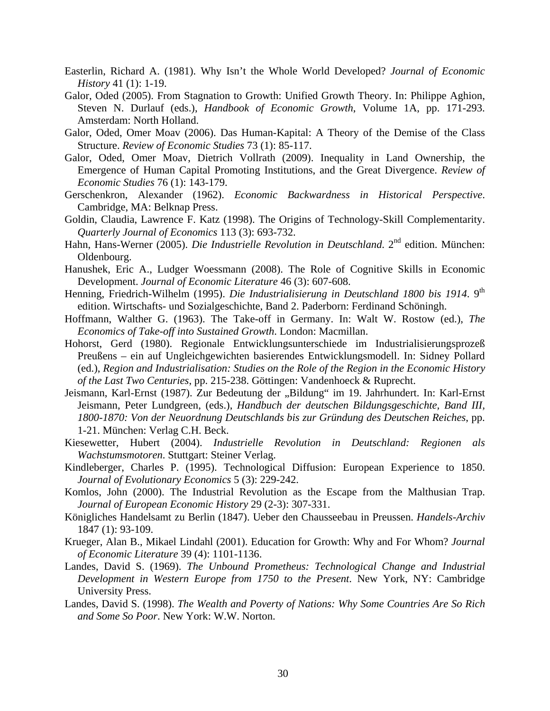- Easterlin, Richard A. (1981). Why Isn't the Whole World Developed? *Journal of Economic History* 41 (1): 1-19.
- Galor, Oded (2005). From Stagnation to Growth: Unified Growth Theory. In: Philippe Aghion, Steven N. Durlauf (eds.), *Handbook of Economic Growth*, Volume 1A, pp. 171-293. Amsterdam: North Holland.
- Galor, Oded, Omer Moav (2006). Das Human-Kapital: A Theory of the Demise of the Class Structure. *Review of Economic Studies* 73 (1): 85-117.
- Galor, Oded, Omer Moav, Dietrich Vollrath (2009). Inequality in Land Ownership, the Emergence of Human Capital Promoting Institutions, and the Great Divergence. *Review of Economic Studies* 76 (1): 143-179.
- Gerschenkron, Alexander (1962). *Economic Backwardness in Historical Perspective*. Cambridge, MA: Belknap Press.
- Goldin, Claudia, Lawrence F. Katz (1998). The Origins of Technology-Skill Complementarity. *Quarterly Journal of Economics* 113 (3): 693-732.
- Hahn, Hans-Werner (2005). *Die Industrielle Revolution in Deutschland*. 2<sup>nd</sup> edition. München: Oldenbourg.
- Hanushek, Eric A., Ludger Woessmann (2008). The Role of Cognitive Skills in Economic Development. *Journal of Economic Literature* 46 (3): 607-608.
- Henning, Friedrich-Wilhelm (1995). *Die Industrialisierung in Deutschland 1800 bis 1914*. 9<sup>th</sup> edition. Wirtschafts- und Sozialgeschichte, Band 2. Paderborn: Ferdinand Schöningh.
- Hoffmann, Walther G. (1963). The Take-off in Germany. In: Walt W. Rostow (ed.), *The Economics of Take-off into Sustained Growth*. London: Macmillan.
- Hohorst, Gerd (1980). Regionale Entwicklungsunterschiede im Industrialisierungsprozeß Preußens – ein auf Ungleichgewichten basierendes Entwicklungsmodell. In: Sidney Pollard (ed.), *Region and Industrialisation: Studies on the Role of the Region in the Economic History of the Last Two Centuries*, pp. 215-238. Göttingen: Vandenhoeck & Ruprecht.
- Jeismann, Karl-Ernst (1987). Zur Bedeutung der "Bildung" im 19. Jahrhundert. In: Karl-Ernst Jeismann, Peter Lundgreen, (eds.), *Handbuch der deutschen Bildungsgeschichte, Band III, 1800-1870: Von der Neuordnung Deutschlands bis zur Gründung des Deutschen Reiches*, pp. 1-21. München: Verlag C.H. Beck.
- Kiesewetter, Hubert (2004). *Industrielle Revolution in Deutschland: Regionen als Wachstumsmotoren*. Stuttgart: Steiner Verlag.
- Kindleberger, Charles P. (1995). Technological Diffusion: European Experience to 1850. *Journal of Evolutionary Economics* 5 (3): 229-242.
- Komlos, John (2000). The Industrial Revolution as the Escape from the Malthusian Trap. *Journal of European Economic History* 29 (2-3): 307-331.
- Königliches Handelsamt zu Berlin (1847). Ueber den Chausseebau in Preussen. *Handels-Archiv* 1847 (1): 93-109.
- Krueger, Alan B., Mikael Lindahl (2001). Education for Growth: Why and For Whom? *Journal of Economic Literature* 39 (4): 1101-1136.
- Landes, David S. (1969). *The Unbound Prometheus: Technological Change and Industrial Development in Western Europe from 1750 to the Present*. New York, NY: Cambridge University Press.
- Landes, David S. (1998). *The Wealth and Poverty of Nations: Why Some Countries Are So Rich and Some So Poor*. New York: W.W. Norton.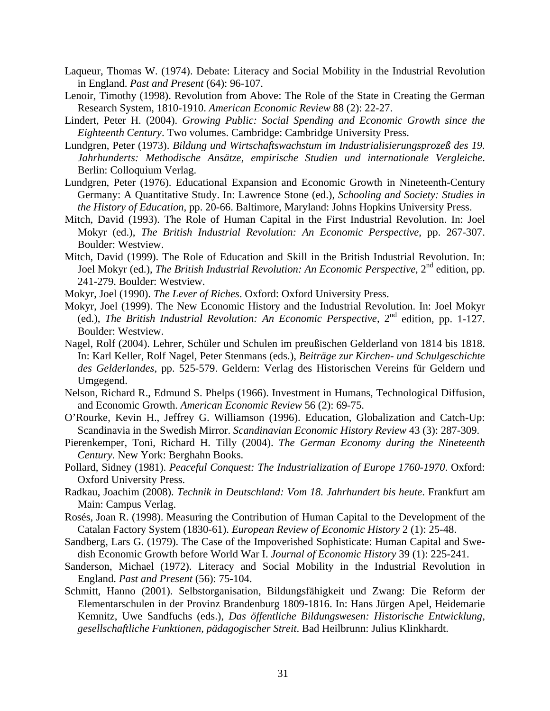- Laqueur, Thomas W. (1974). Debate: Literacy and Social Mobility in the Industrial Revolution in England. *Past and Present* (64): 96-107.
- Lenoir, Timothy (1998). Revolution from Above: The Role of the State in Creating the German Research System, 1810-1910. *American Economic Review* 88 (2): 22-27.
- Lindert, Peter H. (2004). *Growing Public: Social Spending and Economic Growth since the Eighteenth Century*. Two volumes. Cambridge: Cambridge University Press.
- Lundgren, Peter (1973). *Bildung und Wirtschaftswachstum im Industrialisierungsprozeß des 19. Jahrhunderts: Methodische Ansätze, empirische Studien und internationale Vergleiche*. Berlin: Colloquium Verlag.
- Lundgren, Peter (1976). Educational Expansion and Economic Growth in Nineteenth-Century Germany: A Quantitative Study. In: Lawrence Stone (ed.), *Schooling and Society: Studies in the History of Education*, pp. 20-66. Baltimore, Maryland: Johns Hopkins University Press.
- Mitch, David (1993). The Role of Human Capital in the First Industrial Revolution. In: Joel Mokyr (ed.), *The British Industrial Revolution: An Economic Perspective*, pp. 267-307. Boulder: Westview.
- Mitch, David (1999). The Role of Education and Skill in the British Industrial Revolution. In: Joel Mokyr (ed.), *The British Industrial Revolution: An Economic Perspective*, 2<sup>nd</sup> edition, pp. 241-279. Boulder: Westview.
- Mokyr, Joel (1990). *The Lever of Riches*. Oxford: Oxford University Press.
- Mokyr, Joel (1999). The New Economic History and the Industrial Revolution. In: Joel Mokyr (ed.), *The British Industrial Revolution: An Economic Perspective*, 2nd edition, pp. 1-127. Boulder: Westview.
- Nagel, Rolf (2004). Lehrer, Schüler und Schulen im preußischen Gelderland von 1814 bis 1818. In: Karl Keller, Rolf Nagel, Peter Stenmans (eds.), *Beiträge zur Kirchen- und Schulgeschichte des Gelderlandes*, pp. 525-579. Geldern: Verlag des Historischen Vereins für Geldern und Umgegend.
- Nelson, Richard R., Edmund S. Phelps (1966). Investment in Humans, Technological Diffusion, and Economic Growth. *American Economic Review* 56 (2): 69-75.
- O'Rourke, Kevin H., Jeffrey G. Williamson (1996). Education, Globalization and Catch-Up: Scandinavia in the Swedish Mirror. *Scandinavian Economic History Review* 43 (3): 287-309.
- Pierenkemper, Toni, Richard H. Tilly (2004). *The German Economy during the Nineteenth Century*. New York: Berghahn Books.
- Pollard, Sidney (1981). *Peaceful Conquest: The Industrialization of Europe 1760-1970*. Oxford: Oxford University Press.
- Radkau, Joachim (2008). *Technik in Deutschland: Vom 18. Jahrhundert bis heute*. Frankfurt am Main: Campus Verlag.
- Rosés, Joan R. (1998). Measuring the Contribution of Human Capital to the Development of the Catalan Factory System (1830-61). *European Review of Economic History* 2 (1): 25-48.
- Sandberg, Lars G. (1979). The Case of the Impoverished Sophisticate: Human Capital and Swedish Economic Growth before World War I. *Journal of Economic History* 39 (1): 225-241.
- Sanderson, Michael (1972). Literacy and Social Mobility in the Industrial Revolution in England. *Past and Present* (56): 75-104.
- Schmitt, Hanno (2001). Selbstorganisation, Bildungsfähigkeit und Zwang: Die Reform der Elementarschulen in der Provinz Brandenburg 1809-1816. In: Hans Jürgen Apel, Heidemarie Kemnitz, Uwe Sandfuchs (eds.), *Das öffentliche Bildungswesen: Historische Entwicklung, gesellschaftliche Funktionen, pädagogischer Streit*. Bad Heilbrunn: Julius Klinkhardt.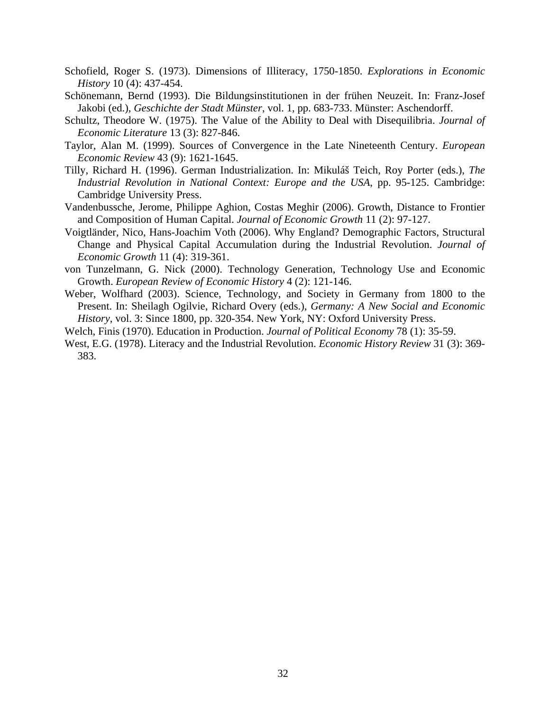- Schofield, Roger S. (1973). Dimensions of Illiteracy, 1750-1850. *Explorations in Economic History* 10 (4): 437-454.
- Schönemann, Bernd (1993). Die Bildungsinstitutionen in der frühen Neuzeit. In: Franz-Josef Jakobi (ed.), *Geschichte der Stadt Münster*, vol. 1, pp. 683-733. Münster: Aschendorff.
- Schultz, Theodore W. (1975). The Value of the Ability to Deal with Disequilibria. *Journal of Economic Literature* 13 (3): 827-846.
- Taylor, Alan M. (1999). Sources of Convergence in the Late Nineteenth Century. *European Economic Review* 43 (9): 1621-1645.
- Tilly, Richard H. (1996). German Industrialization. In: Mikuláš Teich, Roy Porter (eds.), *The Industrial Revolution in National Context: Europe and the USA*, pp. 95-125. Cambridge: Cambridge University Press.
- Vandenbussche, Jerome, Philippe Aghion, Costas Meghir (2006). Growth, Distance to Frontier and Composition of Human Capital. *Journal of Economic Growth* 11 (2): 97-127.
- Voigtländer, Nico, Hans-Joachim Voth (2006). Why England? Demographic Factors, Structural Change and Physical Capital Accumulation during the Industrial Revolution. *Journal of Economic Growth* 11 (4): 319-361.
- von Tunzelmann, G. Nick (2000). Technology Generation, Technology Use and Economic Growth. *European Review of Economic History* 4 (2): 121-146.
- Weber, Wolfhard (2003). Science, Technology, and Society in Germany from 1800 to the Present. In: Sheilagh Ogilvie, Richard Overy (eds.), *Germany: A New Social and Economic History*, vol. 3: Since 1800, pp. 320-354. New York, NY: Oxford University Press.
- Welch, Finis (1970). Education in Production. *Journal of Political Economy* 78 (1): 35-59.
- West, E.G. (1978). Literacy and the Industrial Revolution. *Economic History Review* 31 (3): 369- 383.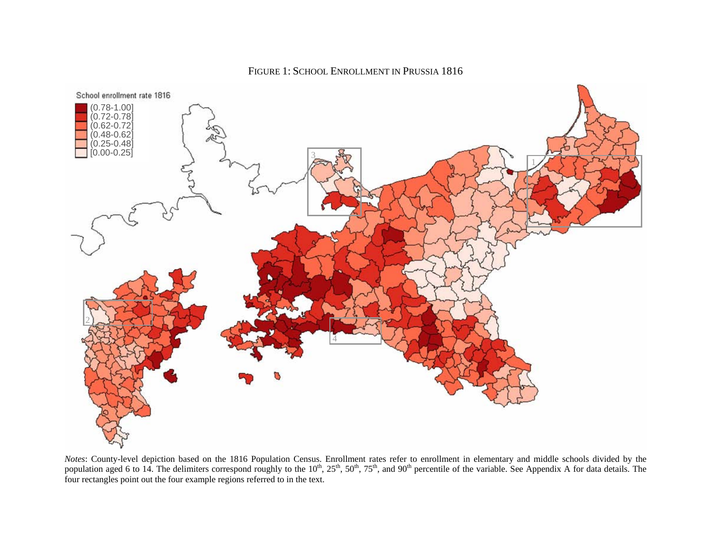

FIGURE 1: SCHOOL ENROLLMENT IN PRUSSIA 1816

*Notes*: County-level depiction based on the 1816 Population Census. Enrollment rates refer to enrollment in elementary and middle schools divided by the population aged 6 to 14. The delimiters correspond roughly to the  $10^{th}$ ,  $25^{th}$ ,  $50^{th}$ ,  $75^{th}$ , and  $90^{th}$  percentile of the variable. See Appendix A for data details. The four rectangles point out the four example regions referred to in the text.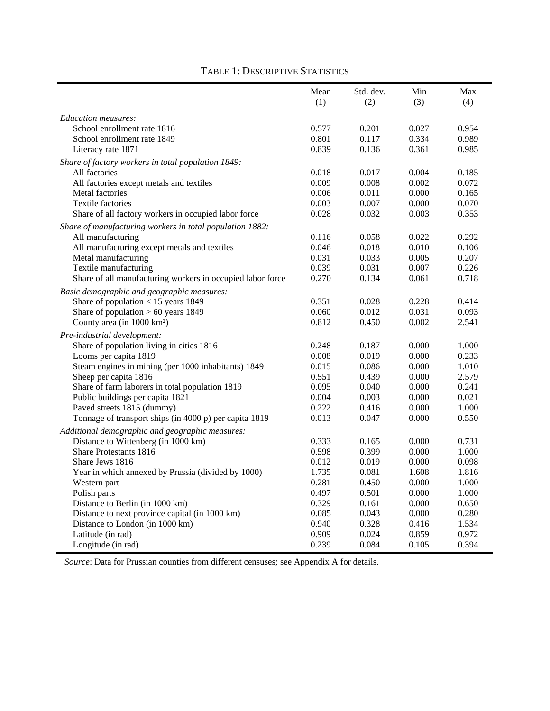|                                                                     | Mean           | Std. dev.      | Min            | Max   |
|---------------------------------------------------------------------|----------------|----------------|----------------|-------|
|                                                                     | (1)            | (2)            | (3)            | (4)   |
| Education measures:                                                 |                |                |                |       |
| School enrollment rate 1816                                         | 0.577          | 0.201          | 0.027          | 0.954 |
| School enrollment rate 1849                                         | 0.801          | 0.117          | 0.334          | 0.989 |
| Literacy rate 1871                                                  | 0.839          | 0.136          | 0.361          | 0.985 |
|                                                                     |                |                |                |       |
| Share of factory workers in total population 1849:<br>All factories |                |                |                | 0.185 |
|                                                                     | 0.018          | 0.017          | 0.004          | 0.072 |
| All factories except metals and textiles<br><b>Metal factories</b>  | 0.009<br>0.006 | 0.008<br>0.011 | 0.002<br>0.000 | 0.165 |
| <b>Textile factories</b>                                            | 0.003          | 0.007          | 0.000          | 0.070 |
| Share of all factory workers in occupied labor force                | 0.028          | 0.032          | 0.003          | 0.353 |
|                                                                     |                |                |                |       |
| Share of manufacturing workers in total population 1882:            |                |                |                |       |
| All manufacturing                                                   | 0.116          | 0.058          | 0.022          | 0.292 |
| All manufacturing except metals and textiles                        | 0.046          | 0.018          | 0.010          | 0.106 |
| Metal manufacturing                                                 | 0.031          | 0.033          | 0.005          | 0.207 |
| Textile manufacturing                                               | 0.039          | 0.031          | 0.007          | 0.226 |
| Share of all manufacturing workers in occupied labor force          | 0.270          | 0.134          | 0.061          | 0.718 |
| Basic demographic and geographic measures:                          |                |                |                |       |
| Share of population $< 15$ years 1849                               | 0.351          | 0.028          | 0.228          | 0.414 |
| Share of population $> 60$ years 1849                               | 0.060          | 0.012          | 0.031          | 0.093 |
| County area (in 1000 km <sup>2</sup> )                              | 0.812          | 0.450          | 0.002          | 2.541 |
| Pre-industrial development:                                         |                |                |                |       |
| Share of population living in cities 1816                           | 0.248          | 0.187          | 0.000          | 1.000 |
| Looms per capita 1819                                               | 0.008          | 0.019          | 0.000          | 0.233 |
| Steam engines in mining (per 1000 inhabitants) 1849                 | 0.015          | 0.086          | 0.000          | 1.010 |
| Sheep per capita 1816                                               | 0.551          | 0.439          | 0.000          | 2.579 |
| Share of farm laborers in total population 1819                     | 0.095          | 0.040          | 0.000          | 0.241 |
| Public buildings per capita 1821                                    | 0.004          | 0.003          | 0.000          | 0.021 |
| Paved streets 1815 (dummy)                                          | 0.222          | 0.416          | 0.000          | 1.000 |
| Tonnage of transport ships (in 4000 p) per capita 1819              | 0.013          | 0.047          | 0.000          | 0.550 |
| Additional demographic and geographic measures:                     |                |                |                |       |
| Distance to Wittenberg (in 1000 km)                                 | 0.333          | 0.165          | 0.000          | 0.731 |
| Share Protestants 1816                                              | 0.598          | 0.399          | 0.000          | 1.000 |
| Share Jews 1816                                                     | 0.012          | 0.019          | 0.000          | 0.098 |
| Year in which annexed by Prussia (divided by 1000)                  | 1.735          | 0.081          | 1.608          | 1.816 |
| Western part                                                        | 0.281          | 0.450          | 0.000          | 1.000 |
| Polish parts                                                        | 0.497          | 0.501          | 0.000          | 1.000 |
| Distance to Berlin (in 1000 km)                                     | 0.329          | 0.161          | 0.000          | 0.650 |
| Distance to next province capital (in 1000 km)                      | 0.085          | 0.043          | 0.000          | 0.280 |
| Distance to London (in 1000 km)                                     | 0.940          | 0.328          | 0.416          | 1.534 |
| Latitude (in rad)                                                   | 0.909          | 0.024          | 0.859          | 0.972 |
| Longitude (in rad)                                                  | 0.239          | 0.084          | 0.105          | 0.394 |

## TABLE 1: DESCRIPTIVE STATISTICS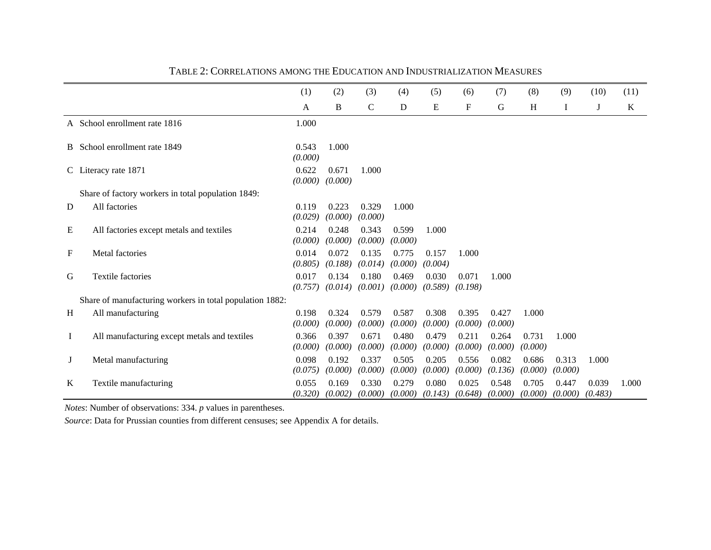|    |                                                          | (1)              | (2)              | (3)              | (4)              | (5)              | (6)              | (7)              | (8)              | (9)              | (10)             | (11)    |
|----|----------------------------------------------------------|------------------|------------------|------------------|------------------|------------------|------------------|------------------|------------------|------------------|------------------|---------|
|    |                                                          | A                | B                | C                | D                | E                | F                | G                | H                | Ι.               | J                | $\bf K$ |
|    | A School enrollment rate 1816                            | 1.000            |                  |                  |                  |                  |                  |                  |                  |                  |                  |         |
|    | B School enrollment rate 1849                            | 0.543<br>(0.000) | 1.000            |                  |                  |                  |                  |                  |                  |                  |                  |         |
|    | C Literacy rate 1871                                     | 0.622<br>(0.000) | 0.671<br>(0.000) | 1.000            |                  |                  |                  |                  |                  |                  |                  |         |
|    | Share of factory workers in total population 1849:       |                  |                  |                  |                  |                  |                  |                  |                  |                  |                  |         |
| D  | All factories                                            | 0.119<br>(0.029) | 0.223<br>(0.000) | 0.329<br>(0.000) | 1.000            |                  |                  |                  |                  |                  |                  |         |
| E  | All factories except metals and textiles                 | 0.214<br>(0.000) | 0.248<br>(0.000) | 0.343<br>(0.000) | 0.599<br>(0.000) | 1.000            |                  |                  |                  |                  |                  |         |
| F  | Metal factories                                          | 0.014<br>(0.805) | 0.072<br>(0.188) | 0.135<br>(0.014) | 0.775<br>(0.000) | 0.157<br>(0.004) | 1.000            |                  |                  |                  |                  |         |
| G  | <b>Textile factories</b>                                 | 0.017<br>(0.757) | 0.134<br>(0.014) | 0.180<br>(0.001) | 0.469<br>(0.000) | 0.030<br>(0.589) | 0.071<br>(0.198) | 1.000            |                  |                  |                  |         |
|    | Share of manufacturing workers in total population 1882: |                  |                  |                  |                  |                  |                  |                  |                  |                  |                  |         |
| H  | All manufacturing                                        | 0.198<br>(0.000) | 0.324<br>(0.000) | 0.579<br>(0.000) | 0.587<br>(0.000) | 0.308<br>(0.000) | 0.395<br>(0.000) | 0.427<br>(0.000) | 1.000            |                  |                  |         |
| Ι. | All manufacturing except metals and textiles             | 0.366<br>(0.000) | 0.397<br>(0.000) | 0.671<br>(0.000) | 0.480<br>(0.000) | 0.479<br>(0.000) | 0.211<br>(0.000) | 0.264<br>(0.000) | 0.731<br>(0.000) | 1.000            |                  |         |
| J  | Metal manufacturing                                      | 0.098<br>(0.075) | 0.192<br>(0.000) | 0.337<br>(0.000) | 0.505<br>(0.000) | 0.205<br>(0.000) | 0.556<br>(0.000) | 0.082<br>(0.136) | 0.686<br>(0.000) | 0.313<br>(0.000) | 1.000            |         |
| K  | Textile manufacturing                                    | 0.055<br>(0.320) | 0.169<br>(0.002) | 0.330<br>(0.000) | 0.279<br>(0.000) | 0.080<br>(0.143) | 0.025<br>(0.648) | 0.548<br>(0.000) | 0.705<br>(0.000) | 0.447<br>(0.000) | 0.039<br>(0.483) | 1.000   |

#### TABLE 2: CORRELATIONS AMONG THE EDUCATION AND INDUSTRIALIZATION MEASURES

*Notes*: Number of observations: 334. *p* values in parentheses.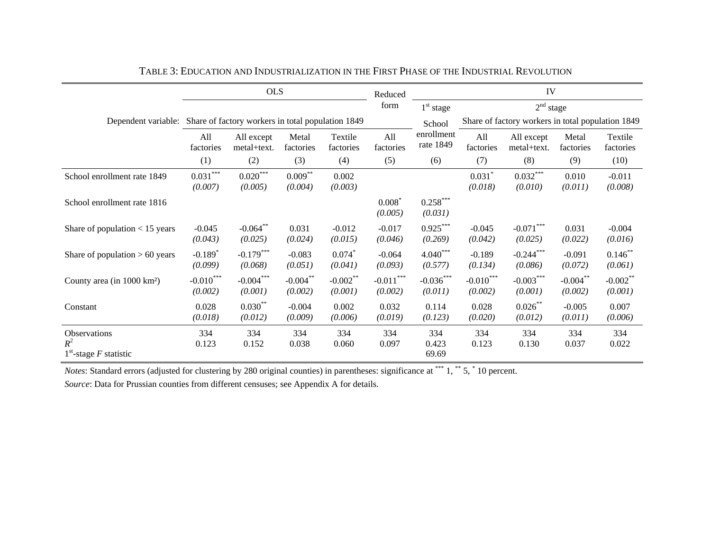|                                                                       |                                  | <b>OLS</b>                |                        |                        | Reduced                |                         | IV                     |                                                   |                        |                        |
|-----------------------------------------------------------------------|----------------------------------|---------------------------|------------------------|------------------------|------------------------|-------------------------|------------------------|---------------------------------------------------|------------------------|------------------------|
|                                                                       |                                  |                           |                        |                        | form                   | $1st$ stage             |                        | 2 <sup>nd</sup> stage                             |                        |                        |
| Dependent variable: Share of factory workers in total population 1849 |                                  |                           |                        |                        |                        | School                  |                        | Share of factory workers in total population 1849 |                        |                        |
|                                                                       | All<br>factories                 | All except<br>metal+text. | Metal<br>factories     | Textile<br>factories   | All<br>factories       | enrollment<br>rate 1849 | All<br>factories       | All except<br>metal+text.                         | Metal<br>factories     | Textile<br>factories   |
|                                                                       | (1)                              | (2)                       | (3)                    | (4)                    | (5)                    | (6)                     | (7)                    | (8)                                               | (9)                    | (10)                   |
| School enrollment rate 1849                                           | $0.031***$<br>(0.007)            | $0.020***$<br>(0.005)     | $0.009***$<br>(0.004)  | 0.002<br>(0.003)       |                        |                         | $0.031$ *<br>(0.018)   | $0.032***$<br>(0.010)                             | 0.010<br>(0.011)       | $-0.011$<br>(0.008)    |
| School enrollment rate 1816                                           |                                  |                           |                        |                        | $0.008*$<br>(0.005)    | $0.258***$<br>(0.031)   |                        |                                                   |                        |                        |
| Share of population $< 15$ years                                      | $-0.045$<br>(0.043)              | $-0.064**$<br>(0.025)     | 0.031<br>(0.024)       | $-0.012$<br>(0.015)    | $-0.017$<br>(0.046)    | $0.925***$<br>(0.269)   | $-0.045$<br>(0.042)    | $-0.071***$<br>(0.025)                            | 0.031<br>(0.022)       | $-0.004$<br>(0.016)    |
| Share of population $> 60$ years                                      | $-0.189$ <sup>*</sup><br>(0.099) | $-0.179***$<br>(0.068)    | $-0.083$<br>(0.051)    | $0.074*$<br>(0.041)    | $-0.064$<br>(0.093)    | $4.040***$<br>(0.577)   | $-0.189$<br>(0.134)    | $-0.244***$<br>(0.086)                            | $-0.091$<br>(0.072)    | $0.146$ **<br>(0.061)  |
| County area (in 1000 km <sup>2</sup> )                                | $-0.010***$<br>(0.002)           | $-0.004***$<br>(0.001)    | $-0.004***$<br>(0.002) | $-0.002$ **<br>(0.001) | $-0.011***$<br>(0.002) | $-0.036***$<br>(0.011)  | $-0.010***$<br>(0.002) | $-0.003***$<br>(0.001)                            | $-0.004***$<br>(0.002) | $-0.002$ **<br>(0.001) |
| Constant                                                              | 0.028<br>(0.018)                 | $0.030***$<br>(0.012)     | $-0.004$<br>(0.009)    | 0.002<br>(0.006)       | 0.032<br>(0.019)       | 0.114<br>(0.123)        | 0.028<br>(0.020)       | $0.026$ **<br>(0.012)                             | $-0.005$<br>(0.011)    | 0.007<br>(0.006)       |
| Observations<br>$R^2$<br>$1st$ -stage F statistic                     | 334<br>0.123                     | 334<br>0.152              | 334<br>0.038           | 334<br>0.060           | 334<br>0.097           | 334<br>0.423<br>69.69   | 334<br>0.123           | 334<br>0.130                                      | 334<br>0.037           | 334<br>0.022           |

| TABLE 3: EDUCATION AND INDUSTRIALIZATION IN THE FIRST PHASE OF THE INDUSTRIAL REVOLUTION |
|------------------------------------------------------------------------------------------|
|------------------------------------------------------------------------------------------|

*Notes*: Standard errors (adjusted for clustering by 280 original counties) in parentheses: significance at \*\*\* 1, \*\* 5, \* 10 percent.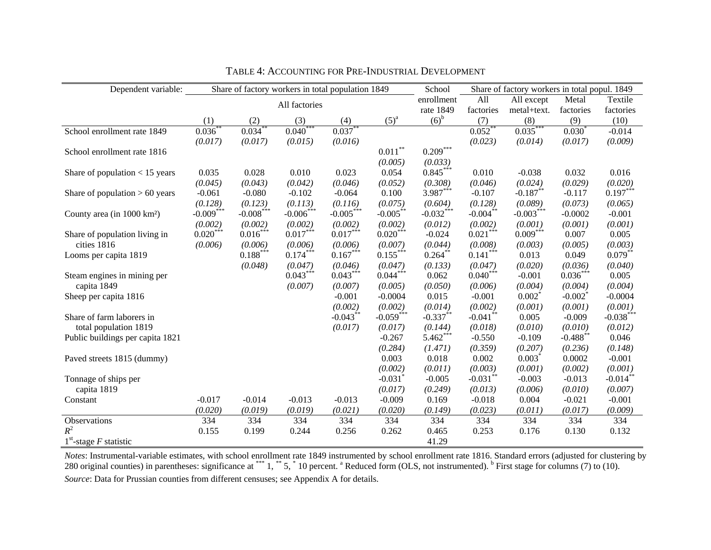| Dependent variable:                    |              |              |               | Share of factory workers in total population 1849 |             | School      | Share of factory workers in total popul. 1849 |             |                       |             |
|----------------------------------------|--------------|--------------|---------------|---------------------------------------------------|-------------|-------------|-----------------------------------------------|-------------|-----------------------|-------------|
|                                        |              |              | All factories |                                                   |             | enrollment  | All                                           | All except  | Metal                 | Textile     |
|                                        |              |              |               |                                                   |             | rate 1849   | factories                                     | metal+text. | factories             | factories   |
|                                        | (1)          | (2)          | (3)           | (4)                                               | $(5)^a$     | $(6)^{b}$   | (7)                                           | (8)         | (9)                   | (10)        |
| School enrollment rate 1849            | $0.036^{**}$ | $0.034^{**}$ | $0.040***$    | $0.037***$                                        |             |             | $0.052***$                                    | $0.035***$  | $0.030^{*}$           | $-0.014$    |
|                                        | (0.017)      | (0.017)      | (0.015)       | (0.016)                                           |             |             | (0.023)                                       | (0.014)     | (0.017)               | (0.009)     |
| School enrollment rate 1816            |              |              |               |                                                   | $0.011***$  | $0.209***$  |                                               |             |                       |             |
|                                        |              |              |               |                                                   | (0.005)     | (0.033)     |                                               |             |                       |             |
| Share of population $< 15$ years       | 0.035        | 0.028        | 0.010         | 0.023                                             | 0.054       | $0.845***$  | 0.010                                         | $-0.038$    | 0.032                 | 0.016       |
|                                        | (0.045)      | (0.043)      | (0.042)       | (0.046)                                           | (0.052)     | (0.308)     | (0.046)                                       | (0.024)     | (0.029)               | (0.020)     |
| Share of population $> 60$ years       | $-0.061$     | $-0.080$     | $-0.102$      | $-0.064$                                          | 0.100       | $3.987***$  | $-0.107$                                      | $-0.187**$  | $-0.117$              | $0.197***$  |
|                                        | (0.128)      | (0.123)      | (0.113)       | (0.116)                                           | (0.075)     | (0.604)     | (0.128)                                       | (0.089)     | (0.073)               | (0.065)     |
| County area (in 1000 km <sup>2</sup> ) | $-0.009***$  | $-0.008***$  | $-0.006^*$    | $-0.005***$                                       | $-0.005***$ | $-0.032***$ | $-0.004$ **                                   | $-0.003***$ | $-0.0002$             | $-0.001$    |
|                                        | (0.002)      | (0.002)      | (0.002)       | (0.002)                                           | (0.002)     | (0.012)     | (0.002)                                       | (0.001)     | (0.001)               | (0.001)     |
| Share of population living in          | $0.020***$   | $0.016***$   | $0.017***$    | $0.017***$                                        | $0.020***$  | $-0.024$    | $0.021***$                                    | $0.009***$  | 0.007                 | 0.005       |
| cities 1816                            | (0.006)      | (0.006)      | (0.006)       | (0.006)                                           | (0.007)     | (0.044)     | (0.008)                                       | (0.003)     | (0.005)               | (0.003)     |
| Looms per capita 1819                  |              | $0.188***$   | $0.174***$    | $0.167***$                                        | $0.155***$  | $0.264***$  | $0.141***$                                    | 0.013       | 0.049                 | $0.079***$  |
|                                        |              | (0.048)      | (0.047)       | (0.046)                                           | (0.047)     | (0.133)     | (0.047)                                       | (0.020)     | (0.036)               | (0.040)     |
| Steam engines in mining per            |              |              | $0.043***$    | $0.043***$                                        | $0.044***$  | 0.062       | $0.040***$                                    | $-0.001$    | $0.036***$            | 0.005       |
| capita 1849                            |              |              | (0.007)       | (0.007)                                           | (0.005)     | (0.050)     | (0.006)                                       | (0.004)     | (0.004)               | (0.004)     |
| Sheep per capita 1816                  |              |              |               | $-0.001$                                          | $-0.0004$   | 0.015       | $-0.001$                                      | $0.002^*$   | $-0.002$ <sup>*</sup> | $-0.0004$   |
|                                        |              |              |               | (0.002)                                           | (0.002)     | (0.014)     | (0.002)                                       | (0.001)     | (0.001)               | (0.001)     |
| Share of farm laborers in              |              |              |               | $-0.043***$                                       | $-0.059***$ | $-0.337**$  | $-0.041$ **                                   | 0.005       | $-0.009$              | $-0.038***$ |
| total population 1819                  |              |              |               | (0.017)                                           | (0.017)     | (0.144)     | (0.018)                                       | (0.010)     | (0.010)               | (0.012)     |
| Public buildings per capita 1821       |              |              |               |                                                   | $-0.267$    | $5.462***$  | $-0.550$                                      | $-0.109$    | $-0.488$ **           | 0.046       |
|                                        |              |              |               |                                                   | (0.284)     | (1.471)     | (0.359)                                       | (0.207)     | (0.236)               | (0.148)     |
| Paved streets 1815 (dummy)             |              |              |               |                                                   | 0.003       | 0.018       | 0.002                                         | $0.003*$    | 0.0002                | $-0.001$    |
|                                        |              |              |               |                                                   | (0.002)     | (0.011)     | (0.003)                                       | (0.001)     | (0.002)               | (0.001)     |
| Tonnage of ships per                   |              |              |               |                                                   | $-0.031$    | $-0.005$    | $-0.031$ <sup>*</sup>                         | $-0.003$    | $-0.013$              | $-0.014$ ** |
| capita 1819                            |              |              |               |                                                   | (0.017)     | (0.249)     | (0.013)                                       | (0.006)     | (0.010)               | (0.007)     |
| Constant                               | $-0.017$     | $-0.014$     | $-0.013$      | $-0.013$                                          | $-0.009$    | 0.169       | $-0.018$                                      | 0.004       | $-0.021$              | $-0.001$    |
|                                        | (0.020)      | (0.019)      | (0.019)       | (0.021)                                           | (0.020)     | (0.149)     | (0.023)                                       | (0.011)     | (0.017)               | (0.009)     |
| Observations                           | 334          | 334          | 334           | 334                                               | 334         | 334         | 334                                           | 334         | 334                   | 334         |
| $R^2$                                  | 0.155        | 0.199        | 0.244         | 0.256                                             | 0.262       | 0.465       | 0.253                                         | 0.176       | 0.130                 | 0.132       |
| $1st$ -stage F statistic               |              |              |               |                                                   |             | 41.29       |                                               |             |                       |             |

TABLE 4: ACCOUNTING FOR PRE-INDUSTRIAL DEVELOPMENT

*Notes*: Instrumental-variable estimates, with school enrollment rate 1849 instrumented by school enrollment rate 1816. Standard errors (adjusted for clustering by 280 original counties) in parentheses: significance at  $***1,***5,*10$  percent.  $^{\circ}$  Reduced form (OLS, not instrumented).  $^{\circ}$  First stage for columns (7) to (10). *Source*: Data for Prussian counties from different censuses; see Appendix A for details.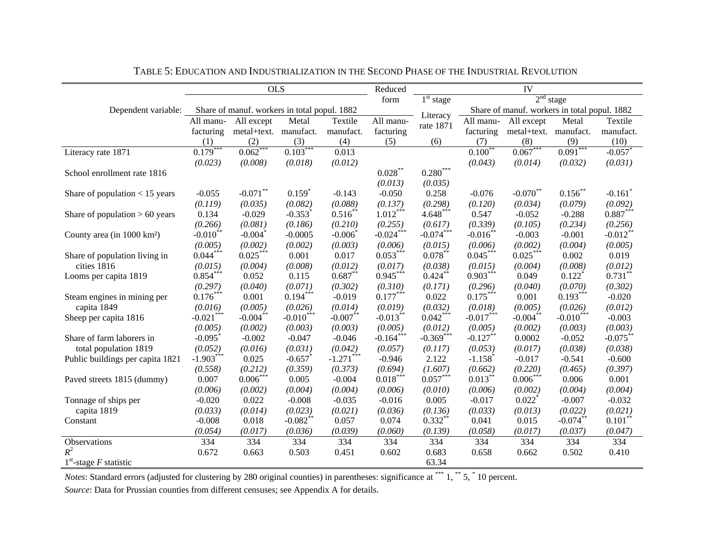|                                        |                       | <b>OLS</b>                                   |                       |                       | Reduced            |                        |                       | IV                                           |                       |                       |
|----------------------------------------|-----------------------|----------------------------------------------|-----------------------|-----------------------|--------------------|------------------------|-----------------------|----------------------------------------------|-----------------------|-----------------------|
|                                        |                       |                                              |                       |                       | form               | $1st$ stage            |                       |                                              | 2 <sup>nd</sup> stage |                       |
| Dependent variable:                    |                       | Share of manuf. workers in total popul. 1882 |                       |                       |                    | Literacy               |                       | Share of manuf. workers in total popul. 1882 |                       |                       |
|                                        | All manu-             | All except                                   | Metal                 | Textile               | All manu-          | rate 1871              | All manu-             | All except                                   | Metal                 | Textile               |
|                                        | facturing             | metal+text. manufact.                        |                       | manufact.             | facturing          |                        | facturing             | metal+text. manufact.                        |                       | manufact.             |
|                                        | (1)                   | (2)                                          | (3)                   | (4)                   | (5)                | (6)                    | (7)                   | (8)                                          | (9)                   | (10)                  |
| Literacy rate 1871                     | 0.179                 | $0.062$ <sup>*</sup>                         | 0.103                 | 0.013                 |                    |                        | $0.100^{\degree}$     | 0.067                                        | 0.091                 | $-0.057$              |
|                                        | (0.023)               | (0.008)                                      | (0.018)               | (0.012)               |                    |                        | (0.043)               | (0.014)                                      | (0.032)               | (0.031)               |
| School enrollment rate 1816            |                       |                                              |                       |                       | $0.028^{\ast\ast}$ | $0.280^{\ast\ast\ast}$ |                       |                                              |                       |                       |
|                                        |                       |                                              |                       |                       | (0.013)            | (0.035)                |                       |                                              |                       |                       |
| Share of population $<$ 15 years       | $-0.055$              | $-0.071$ **                                  | $0.159$ <sup>*</sup>  | $-0.143$              | $-0.050$           | 0.258                  | $-0.076$              | $-0.070**$                                   | $0.156$ **            | $-0.161$ <sup>*</sup> |
|                                        | (0.119)               | (0.035)                                      | (0.082)               | (0.088)               | (0.137)            | (0.298)                | (0.120)               | (0.034)                                      | (0.079)               | (0.092)               |
| Share of population $> 60$ years       | 0.134                 | $-0.029$                                     | $-0.353$ <sup>*</sup> | $0.516^{**}$          | $1.012***$         | $4.648***$             | 0.547                 | $-0.052$                                     | $-0.288$              | $0.887***$            |
|                                        | (0.266)               | (0.081)                                      | (0.186)               | (0.210)               | (0.255)            | (0.617)                | (0.339)               | (0.105)                                      | (0.234)               | (0.256)               |
| County area (in 1000 km <sup>2</sup> ) | $-0.010$ <sup>*</sup> | $-0.004$ <sup>*</sup>                        | $-0.0005$             | $-0.006$ <sup>*</sup> | $-0.024***$        | $-0.074***$            | $-0.016$ **           | $-0.003$                                     | $-0.001$              | $-0.012$ **           |
|                                        | (0.005)               | (0.002)                                      | (0.002)               | (0.003)               | (0.006)            | (0.015)                | (0.006)               | (0.002)                                      | (0.004)               | (0.005)               |
| Share of population living in          | $0.044***$            | $0.025***$                                   | 0.001                 | 0.017                 | $0.053***$         | $0.078***$             | $0.045***$            | $0.025***$                                   | 0.002                 | 0.019                 |
| cities 1816                            | (0.015)               | (0.004)                                      | (0.008)               | (0.012)               | (0.017)            | (0.038)                | (0.015)               | (0.004)                                      | (0.008)               | (0.012)               |
| Looms per capita 1819                  | $0.854***$            | 0.052                                        | 0.115                 | $0.687**$             | $0.945***$         | $0.424$ **             | $0.903***$            | 0.049                                        | $0.122$ <sup>*</sup>  | $0.731$ **            |
|                                        | (0.297)               | (0.040)                                      | (0.071)               | (0.302)               | (0.310)            | (0.171)                | (0.296)               | (0.040)                                      | (0.070)               | (0.302)               |
| Steam engines in mining per            | $0.176***$            | 0.001                                        | $0.194***$            | $-0.019$              | $0.177***$         | 0.022                  | $0.175***$            | 0.001                                        | $0.193***$            | $-0.020$              |
| capita 1849                            | (0.016)               | (0.005)                                      | (0.026)               | (0.014)               | (0.019)            | (0.032)                | (0.018)               | (0.005)                                      | (0.026)               | (0.012)               |
| Sheep per capita 1816                  | $-0.021***$           | $-0.004***$                                  | $-0.010***$           | $-0.007***$           | $-0.013***$        | $0.042***$             | $-0.017***$           | $-0.004***$                                  | $-0.010***$           | $-0.003$              |
|                                        | (0.005)               | (0.002)                                      | (0.003)               | (0.003)               | (0.005)            | (0.012)                | (0.005)               | (0.002)                                      | (0.003)               | (0.003)               |
| Share of farm laborers in              | $-0.095$ <sup>*</sup> | $-0.002$                                     | $-0.047$              | $-0.046$              | $-0.164***$        | $-0.369***$            | $-0.127**$            | 0.0002                                       | $-0.052$              | $-0.075$ **           |
| total population 1819                  | (0.052)               | (0.016)                                      | (0.031)               | (0.042)               | (0.057)            | (0.117)                | (0.053)               | (0.017)                                      | (0.038)               | (0.038)               |
| Public buildings per capita 1821       | $-1.903***$           | 0.025                                        | $-0.657$ <sup>*</sup> | $-1.271***$           | $-0.946$           | 2.122                  | $-1.158$ <sup>*</sup> | $-0.017$                                     | $-0.541$              | $-0.600$              |
|                                        | (0.558)               | (0.212)                                      | (0.359)               | (0.373)               | (0.694)            | (1.607)                | (0.662)               | (0.220)                                      | (0.465)               | (0.397)               |
| Paved streets 1815 (dummy)             | 0.007                 | $0.006***$                                   | 0.005                 | $-0.004$              | $0.018***$         | $0.057***$             | $0.013***$            | $0.006***$                                   | 0.006                 | 0.001                 |
|                                        | (0.006)               | (0.002)                                      | (0.004)               | (0.004)               | (0.006)            | (0.010)                | (0.006)               | (0.002)                                      | (0.004)               | (0.004)               |
| Tonnage of ships per                   | $-0.020$              | 0.022                                        | $-0.008$              | $-0.035$              | $-0.016$           | 0.005                  | $-0.017$              | $0.022$ <sup>*</sup>                         | $-0.007$              | $-0.032$              |
| capita 1819                            | (0.033)               | (0.014)                                      | (0.023)               | (0.021)               | (0.036)            | (0.136)                | (0.033)               | (0.013)                                      | (0.022)               | (0.021)               |
| Constant                               | $-0.008$              | 0.018                                        | $-0.082**$            | 0.057                 | 0.074              | $0.332**$              | 0.041                 | 0.015                                        | $-0.074***$           | $0.101**$             |
|                                        | (0.054)               | (0.017)                                      | (0.036)               | (0.039)               | (0.060)            | (0.139)                | (0.058)               | (0.017)                                      | (0.037)               | (0.047)               |
| Observations                           | 334                   | 334                                          | 334                   | 334                   | 334                | 334                    | 334                   | 334                                          | 334                   | 334                   |
| $R^2$                                  | 0.672                 | 0.663                                        | 0.503                 | 0.451                 | 0.602              | 0.683                  | 0.658                 | 0.662                                        | 0.502                 | 0.410                 |
| $1st$ -stage F statistic               |                       |                                              |                       |                       |                    | 63.34                  |                       |                                              |                       |                       |

TABLE 5: EDUCATION AND INDUSTRIALIZATION IN THE SECOND PHASE OF THE INDUSTRIAL REVOLUTION

*Notes*: Standard errors (adjusted for clustering by 280 original counties) in parentheses: significance at \*\*\* 1, \*\* 5, \* 10 percent.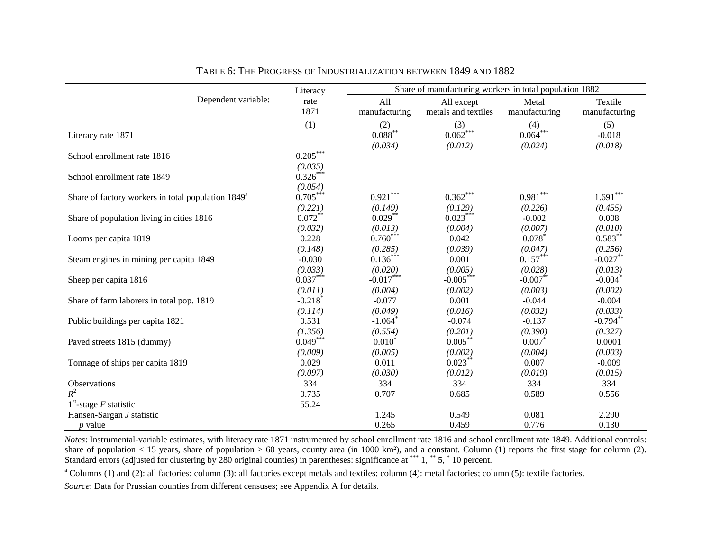|                                                       | Literacy              |                       | Share of manufacturing workers in total population 1882 |               |                        |
|-------------------------------------------------------|-----------------------|-----------------------|---------------------------------------------------------|---------------|------------------------|
| Dependent variable:                                   | rate                  | All                   | All except                                              | Metal         | Textile                |
|                                                       | 1871                  | manufacturing         | metals and textiles                                     | manufacturing | manufacturing          |
|                                                       | (1)                   | (2)                   | (3)                                                     | (4)           | (5)                    |
| Literacy rate 1871                                    |                       | $0.088*$              | $0.062$ <sup>*</sup>                                    | 0.064         | $-0.018$               |
|                                                       |                       | (0.034)               | (0.012)                                                 | (0.024)       | (0.018)                |
| School enrollment rate 1816                           | $0.205***$            |                       |                                                         |               |                        |
|                                                       | (0.035)               |                       |                                                         |               |                        |
| School enrollment rate 1849                           | $0.326***$            |                       |                                                         |               |                        |
|                                                       | (0.054)               |                       |                                                         |               |                        |
| Share of factory workers in total population $1849^a$ | $0.705***$            | $0.921***$            | $0.362***$                                              | $0.981***$    | $1.691^{\ast\ast\ast}$ |
|                                                       | (0.221)               | (0.149)               | (0.129)                                                 | (0.226)       | (0.455)                |
| Share of population living in cities 1816             | $0.072**$             | $0.029$ **            | $0.023***$                                              | $-0.002$      | 0.008                  |
|                                                       | (0.032)               | (0.013)               | (0.004)                                                 | (0.007)       | (0.010)                |
| Looms per capita 1819                                 | 0.228                 | $0.760***$            | 0.042                                                   | 0.078         | $0.583***$             |
|                                                       | (0.148)               | (0.285)               | (0.039)                                                 | (0.047)       | (0.256)                |
| Steam engines in mining per capita 1849               | $-0.030$              | $0.136***$            | 0.001                                                   | $0.157***$    | $-0.027**$             |
|                                                       | (0.033)               | (0.020)               | (0.005)                                                 | (0.028)       | (0.013)                |
| Sheep per capita 1816                                 | $0.037***$            | $-0.017***$           | $-0.005***$                                             | $-0.007$ **   | $-0.004$ <sup>*</sup>  |
|                                                       | (0.011)               | (0.004)               | (0.002)                                                 | (0.003)       | (0.002)                |
| Share of farm laborers in total pop. 1819             | $-0.218$ <sup>*</sup> | $-0.077$              | 0.001                                                   | $-0.044$      | $-0.004$               |
|                                                       | (0.114)               | (0.049)               | (0.016)                                                 | (0.032)       | (0.033)                |
| Public buildings per capita 1821                      | 0.531                 | $-1.064$ <sup>*</sup> | $-0.074$                                                | $-0.137$      | $-0.794**$             |
|                                                       | (1.356)               | (0.554)               | (0.201)                                                 | (0.390)       | (0.327)                |
| Paved streets 1815 (dummy)                            | $0.049***$            | $0.010^{*}$           | $0.005***$                                              | 0.007         | 0.0001                 |
|                                                       | (0.009)               | (0.005)               | (0.002)                                                 | (0.004)       | (0.003)                |
| Tonnage of ships per capita 1819                      | 0.029                 | 0.011                 | $0.023***$                                              | 0.007         | $-0.009$               |
|                                                       | (0.097)               | (0.030)               | (0.012)                                                 | (0.019)       | (0.015)                |
| Observations                                          | 334                   | 334                   | 334                                                     | 334           | 334                    |
| $R^2$                                                 | 0.735                 | 0.707                 | 0.685                                                   | 0.589         | 0.556                  |
| $1st$ -stage F statistic                              | 55.24                 |                       |                                                         |               |                        |
| Hansen-Sargan J statistic                             |                       | 1.245                 | 0.549                                                   | 0.081         | 2.290                  |
| $p$ value                                             |                       | 0.265                 | 0.459                                                   | 0.776         | 0.130                  |

TABLE 6: THE PROGRESS OF INDUSTRIALIZATION BETWEEN 1849 AND 1882

*Notes*: Instrumental-variable estimates, with literacy rate 1871 instrumented by school enrollment rate 1816 and school enrollment rate 1849. Additional controls: share of population  $< 15$  years, share of population  $> 60$  years, county area (in 1000 km<sup>2</sup>), and a constant. Column (1) reports the first stage for column (2). Standard errors (adjusted for clustering by 280 original counties) in parentheses: significance at \*\*\* 1, \*\* 5, \* 10 percent.

<sup>a</sup> Columns (1) and (2): all factories; column (3): all factories except metals and textiles; column (4): metal factories; column (5): textile factories.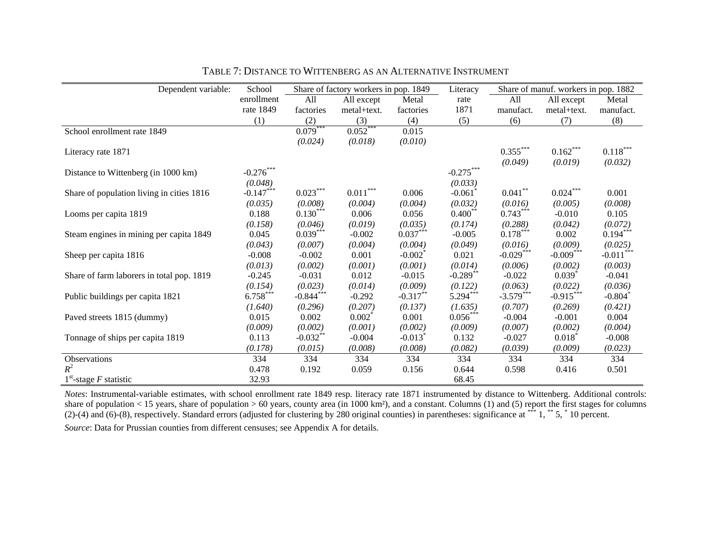| Dependent variable:                       | School      |             | Share of factory workers in pop. 1849 |                       | Literacy              |             | Share of manuf. workers in pop. 1882 |                       |
|-------------------------------------------|-------------|-------------|---------------------------------------|-----------------------|-----------------------|-------------|--------------------------------------|-----------------------|
|                                           | enrollment  | All         | All except                            | Metal                 | rate                  | All         | All except                           | Metal                 |
|                                           | rate 1849   | factories   | metal+text.                           | factories             | 1871                  | manufact.   | metal+text.                          | manufact.             |
|                                           | (1)         | (2)         | (3)                                   | (4)                   | (5)                   | (6)         | (7)                                  | (8)                   |
| School enrollment rate 1849               |             | $0.079***$  | $0.052***$                            | 0.015                 |                       |             |                                      |                       |
|                                           |             | (0.024)     | (0.018)                               | (0.010)               |                       |             |                                      |                       |
| Literacy rate 1871                        |             |             |                                       |                       |                       | $0.355***$  | $0.162***$                           | $0.118***$            |
|                                           |             |             |                                       |                       |                       | (0.049)     | (0.019)                              | (0.032)               |
| Distance to Wittenberg (in 1000 km)       | $-0.276***$ |             |                                       |                       | $-0.275***$           |             |                                      |                       |
|                                           | (0.048)     |             |                                       |                       | (0.033)               |             |                                      |                       |
| Share of population living in cities 1816 | $-0.147***$ | $0.023***$  | $0.011***$                            | 0.006                 | $-0.061$ <sup>*</sup> | $0.041***$  | $0.024***$                           | 0.001                 |
|                                           | (0.035)     | (0.008)     | (0.004)                               | (0.004)               | (0.032)               | (0.016)     | (0.005)                              | (0.008)               |
| Looms per capita 1819                     | 0.188       | $0.130***$  | 0.006                                 | 0.056                 | $0.400***$            | $0.743***$  | $-0.010$                             | 0.105                 |
|                                           | (0.158)     | (0.046)     | (0.019)                               | (0.035)               | (0.174)               | (0.288)     | (0.042)                              | (0.072)               |
| Steam engines in mining per capita 1849   | 0.045       | $0.039***$  | $-0.002$                              | $0.037***$            | $-0.005$              | $0.178***$  | 0.002                                | $0.194***$            |
|                                           | (0.043)     | (0.007)     | (0.004)                               | (0.004)               | (0.049)               | (0.016)     | (0.009)                              | (0.025)               |
| Sheep per capita 1816                     | $-0.008$    | $-0.002$    | 0.001                                 | $-0.002^*$            | 0.021                 | $-0.029***$ | $-0.009***$                          | $-0.011***$           |
|                                           | (0.013)     | (0.002)     | (0.001)                               | (0.001)               | (0.014)               | (0.006)     | (0.002)                              | (0.003)               |
| Share of farm laborers in total pop. 1819 | $-0.245$    | $-0.031$    | 0.012                                 | $-0.015$              | $-0.289$ **           | $-0.022$    | $0.039$ <sup>*</sup>                 | $-0.041$              |
|                                           | (0.154)     | (0.023)     | (0.014)                               | (0.009)               | (0.122)               | (0.063)     | (0.022)                              | (0.036)               |
| Public buildings per capita 1821          | $6.758***$  | $-0.844***$ | $-0.292$                              | $-0.317***$           | $5.294***$            | $-3.579***$ | $-0.915***$                          | $-0.804$ <sup>*</sup> |
|                                           | (1.640)     | (0.296)     | (0.207)                               | (0.137)               | (1.635)               | (0.707)     | (0.269)                              | (0.421)               |
| Paved streets 1815 (dummy)                | 0.015       | 0.002       | $0.002^*$                             | 0.001                 | $0.056***$            | $-0.004$    | $-0.001$                             | 0.004                 |
|                                           | (0.009)     | (0.002)     | (0.001)                               | (0.002)               | (0.009)               | (0.007)     | (0.002)                              | (0.004)               |
| Tonnage of ships per capita 1819          | 0.113       | $-0.032***$ | $-0.004$                              | $-0.013$ <sup>*</sup> | 0.132                 | $-0.027$    | $0.018*$                             | $-0.008$              |
|                                           | (0.178)     | (0.015)     | (0.008)                               | (0.008)               | (0.082)               | (0.039)     | (0.009)                              | (0.023)               |
| Observations                              | 334         | 334         | 334                                   | 334                   | 334                   | 334         | 334                                  | 334                   |
| $R^2$                                     | 0.478       | 0.192       | 0.059                                 | 0.156                 | 0.644                 | 0.598       | 0.416                                | 0.501                 |
| $1st$ -stage F statistic                  | 32.93       |             |                                       |                       | 68.45                 |             |                                      |                       |

TABLE 7: DISTANCE TO WITTENBERG AS AN ALTERNATIVE INSTRUMENT

*Notes*: Instrumental-variable estimates, with school enrollment rate 1849 resp. literacy rate 1871 instrumented by distance to Wittenberg. Additional controls: share of population  $< 15$  years, share of population  $> 60$  years, county area (in 1000 km²), and a constant. Columns (1) and (5) report the first stages for columns (2)-(4) and (6)-(8), respectively. Standard errors (adjusted for clustering by 280 original counties) in parentheses: significance at  $***$  1,  $**$  5,  $*$  10 percent. *Source*: Data for Prussian counties from different censuses; see Appendix A for details.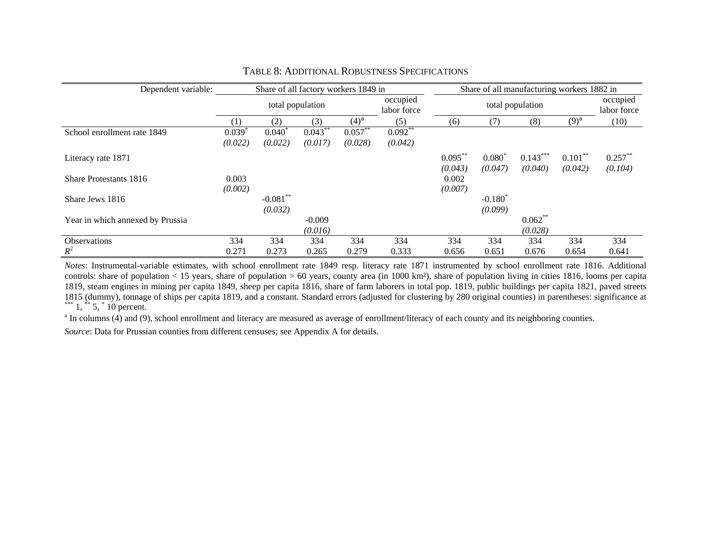| Dependent variable:              |         | Share of all factory workers 1849 in |            |            |                         | Share of all manufacturing workers 1882 in |            |            |            |                         |
|----------------------------------|---------|--------------------------------------|------------|------------|-------------------------|--------------------------------------------|------------|------------|------------|-------------------------|
|                                  |         | total population                     |            |            | occupied<br>labor force | total population                           |            |            |            | occupied<br>labor force |
|                                  | (1)     | (2)                                  | (3)        | $(4)^a$    | (5)                     | (6)                                        | (7)        | (8)        | $(9)^a$    | (10)                    |
| School enrollment rate 1849      | 0.039   | $0.040^{\circ}$                      | $0.043***$ | $0.057***$ | $0.092***$              |                                            |            |            |            |                         |
|                                  | (0.022) | (0.022)                              | (0.017)    | (0.028)    | (0.042)                 |                                            |            |            |            |                         |
| Literacy rate 1871               |         |                                      |            |            |                         | $0.095***$                                 | $0.080^*$  | $0.143***$ | $0.101***$ | $0.257***$              |
|                                  |         |                                      |            |            |                         | (0.043)                                    | (0.047)    | (0.040)    | (0.042)    | (0.104)                 |
| <b>Share Protestants 1816</b>    | 0.003   |                                      |            |            |                         | 0.002                                      |            |            |            |                         |
|                                  | (0.002) |                                      |            |            |                         | (0.007)                                    |            |            |            |                         |
| Share Jews 1816                  |         | $-0.081**$                           |            |            |                         |                                            | $-0.180^*$ |            |            |                         |
|                                  |         | (0.032)                              |            |            |                         |                                            | (0.099)    |            |            |                         |
| Year in which annexed by Prussia |         |                                      | $-0.009$   |            |                         |                                            |            | $0.062$ ** |            |                         |
|                                  |         |                                      | (0.016)    |            |                         |                                            |            | (0.028)    |            |                         |
| <b>Observations</b>              | 334     | 334                                  | 334        | 334        | 334                     | 334                                        | 334        | 334        | 334        | 334                     |
| $R^2$                            | 0.271   | 0.273                                | 0.265      | 0.279      | 0.333                   | 0.656                                      | 0.651      | 0.676      | 0.654      | 0.641                   |

#### TABLE 8: ADDITIONAL ROBUSTNESS SPECIFICATIONS

*Notes*: Instrumental-variable estimates, with school enrollment rate 1849 resp. literacy rate 1871 instrumented by school enrollment rate 1816. Additional controls: share of population  $< 15$  years, share of population  $> 60$  years, county area (in 1000 km²), share of population living in cities 1816, looms per capita 1819, steam engines in mining per capita 1849, sheep per capita 1816, share of farm laborers in total pop. 1819, public buildings per capita 1821, paved streets 1815 (dummy), tonnage of ships per capita 1819, and a constant. Standard errors (adjusted for clustering by 280 original counties) in parentheses: significance at \*\*\* 1, \*\* 5,  $\degree$  10 percent.

<sup>a</sup> In columns (4) and (9), school enrollment and literacy are measured as average of enrollment/literacy of each county and its neighboring counties.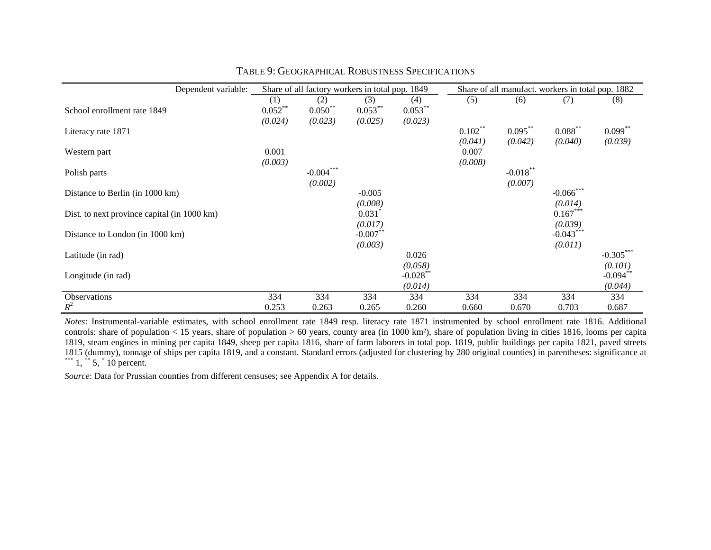| Dependent variable:                         |            | Share of all factory workers in total pop. 1849 |                        |                        | Share of all manufact. workers in total pop. 1882 |             |              |             |  |
|---------------------------------------------|------------|-------------------------------------------------|------------------------|------------------------|---------------------------------------------------|-------------|--------------|-------------|--|
|                                             | (1)        | (2)                                             | (3)                    | (4)                    | (5)                                               | (6)         | (7)          | (8)         |  |
| School enrollment rate 1849                 | $0.052***$ | $0.050^{**}$                                    | $0.053***$             | $0.053***$             |                                                   |             |              |             |  |
|                                             | (0.024)    | (0.023)                                         | (0.025)                | (0.023)                |                                                   |             |              |             |  |
| Literacy rate 1871                          |            |                                                 |                        |                        | $0.102***$                                        | $0.095***$  | $0.088***$   | $0.099**$   |  |
|                                             |            |                                                 |                        |                        | (0.041)                                           | (0.042)     | (0.040)      | (0.039)     |  |
| Western part                                | 0.001      |                                                 |                        |                        | 0.007                                             |             |              |             |  |
|                                             | (0.003)    |                                                 |                        |                        | (0.008)                                           |             |              |             |  |
| Polish parts                                |            | $-0.004***$                                     |                        |                        |                                                   | $-0.018***$ |              |             |  |
|                                             |            | (0.002)                                         |                        |                        |                                                   | (0.007)     |              |             |  |
| Distance to Berlin (in 1000 km)             |            |                                                 | $-0.005$               |                        |                                                   |             | $-0.066$ *** |             |  |
|                                             |            |                                                 | (0.008)                |                        |                                                   |             | (0.014)      |             |  |
| Dist. to next province capital (in 1000 km) |            |                                                 | $0.031$ <sup>*</sup>   |                        |                                                   |             | $0.167***$   |             |  |
|                                             |            |                                                 | (0.017)                |                        |                                                   |             | (0.039)      |             |  |
| Distance to London (in 1000 km)             |            |                                                 | $-0.007$ <sup>**</sup> |                        |                                                   |             | $-0.043***$  |             |  |
|                                             |            |                                                 | (0.003)                |                        |                                                   |             | (0.011)      |             |  |
| Latitude (in rad)                           |            |                                                 |                        | 0.026                  |                                                   |             |              | $-0.305***$ |  |
|                                             |            |                                                 |                        | (0.058)                |                                                   |             |              | (0.101)     |  |
| Longitude (in rad)                          |            |                                                 |                        | $-0.028$ <sup>**</sup> |                                                   |             |              | $-0.094$    |  |
|                                             |            |                                                 |                        | (0.014)                |                                                   |             |              | (0.044)     |  |
| Observations                                | 334        | 334                                             | 334                    | 334                    | 334                                               | 334         | 334          | 334         |  |
| $R^2$                                       | 0.253      | 0.263                                           | 0.265                  | 0.260                  | 0.660                                             | 0.670       | 0.703        | 0.687       |  |

#### TABLE 9: GEOGRAPHICAL ROBUSTNESS SPECIFICATIONS

*Notes*: Instrumental-variable estimates, with school enrollment rate 1849 resp. literacy rate 1871 instrumented by school enrollment rate 1816. Additional controls: share of population < 15 years, share of population > 60 years, county area (in 1000 km²), share of population living in cities 1816, looms per capita 1819, steam engines in mining per capita 1849, sheep per capita 1816, share of farm laborers in total pop. 1819, public buildings per capita 1821, paved streets 1815 (dummy), tonnage of ships per capita 1819, and a constant. Standard errors (adjusted for clustering by 280 original counties) in parentheses: significance at \*\*\*  $1, *5, *10$  percent.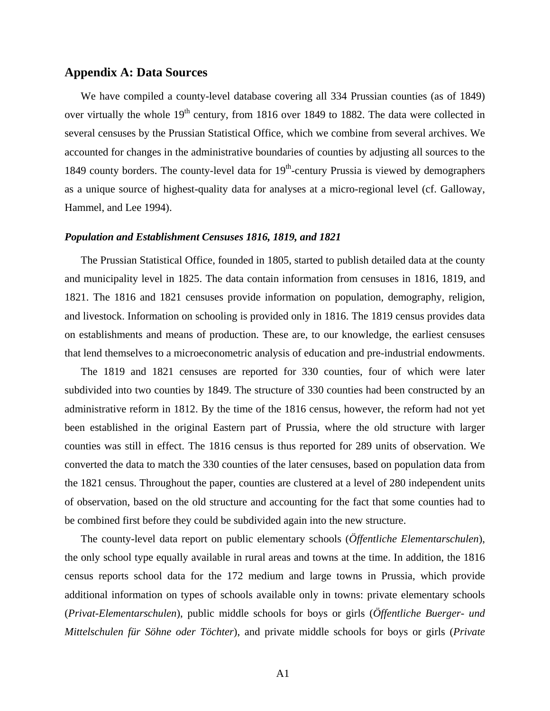#### **Appendix A: Data Sources**

We have compiled a county-level database covering all 334 Prussian counties (as of 1849) over virtually the whole  $19<sup>th</sup>$  century, from 1816 over 1849 to 1882. The data were collected in several censuses by the Prussian Statistical Office, which we combine from several archives. We accounted for changes in the administrative boundaries of counties by adjusting all sources to the 1849 county borders. The county-level data for  $19<sup>th</sup>$ -century Prussia is viewed by demographers as a unique source of highest-quality data for analyses at a micro-regional level (cf. Galloway, Hammel, and Lee 1994).

#### *Population and Establishment Censuses 1816, 1819, and 1821*

The Prussian Statistical Office, founded in 1805, started to publish detailed data at the county and municipality level in 1825. The data contain information from censuses in 1816, 1819, and 1821. The 1816 and 1821 censuses provide information on population, demography, religion, and livestock. Information on schooling is provided only in 1816. The 1819 census provides data on establishments and means of production. These are, to our knowledge, the earliest censuses that lend themselves to a microeconometric analysis of education and pre-industrial endowments.

The 1819 and 1821 censuses are reported for 330 counties, four of which were later subdivided into two counties by 1849. The structure of 330 counties had been constructed by an administrative reform in 1812. By the time of the 1816 census, however, the reform had not yet been established in the original Eastern part of Prussia, where the old structure with larger counties was still in effect. The 1816 census is thus reported for 289 units of observation. We converted the data to match the 330 counties of the later censuses, based on population data from the 1821 census. Throughout the paper, counties are clustered at a level of 280 independent units of observation, based on the old structure and accounting for the fact that some counties had to be combined first before they could be subdivided again into the new structure.

The county-level data report on public elementary schools (*Öffentliche Elementarschulen*), the only school type equally available in rural areas and towns at the time. In addition, the 1816 census reports school data for the 172 medium and large towns in Prussia, which provide additional information on types of schools available only in towns: private elementary schools (*Privat-Elementarschulen*), public middle schools for boys or girls (*Öffentliche Buerger- und Mittelschulen für Söhne oder Töchter*), and private middle schools for boys or girls (*Private*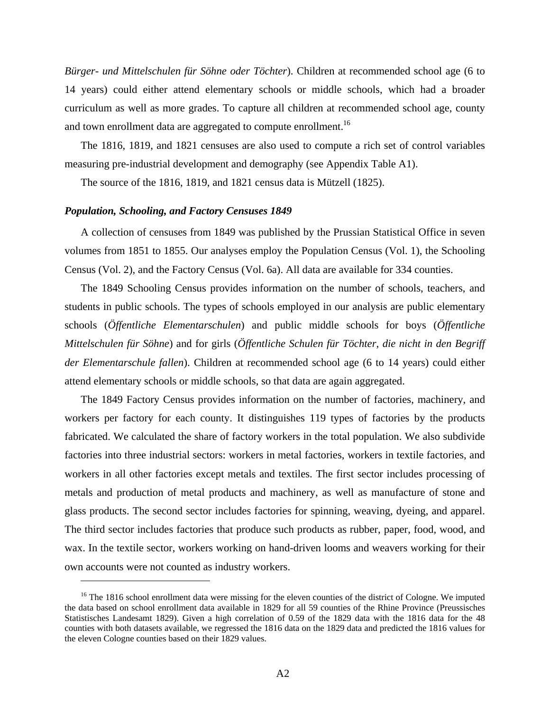*Bürger- und Mittelschulen für Söhne oder Töchter*). Children at recommended school age (6 to 14 years) could either attend elementary schools or middle schools, which had a broader curriculum as well as more grades. To capture all children at recommended school age, county and town enrollment data are aggregated to compute enrollment.<sup>16</sup>

The 1816, 1819, and 1821 censuses are also used to compute a rich set of control variables measuring pre-industrial development and demography (see Appendix Table A1).

The source of the 1816, 1819, and 1821 census data is Mützell (1825).

#### *Population, Schooling, and Factory Censuses 1849*

 $\overline{a}$ 

A collection of censuses from 1849 was published by the Prussian Statistical Office in seven volumes from 1851 to 1855. Our analyses employ the Population Census (Vol. 1), the Schooling Census (Vol. 2), and the Factory Census (Vol. 6a). All data are available for 334 counties.

The 1849 Schooling Census provides information on the number of schools, teachers, and students in public schools. The types of schools employed in our analysis are public elementary schools (*Öffentliche Elementarschulen*) and public middle schools for boys (*Öffentliche Mittelschulen für Söhne*) and for girls (*Öffentliche Schulen für Töchter, die nicht in den Begriff der Elementarschule fallen*). Children at recommended school age (6 to 14 years) could either attend elementary schools or middle schools, so that data are again aggregated.

The 1849 Factory Census provides information on the number of factories, machinery, and workers per factory for each county. It distinguishes 119 types of factories by the products fabricated. We calculated the share of factory workers in the total population. We also subdivide factories into three industrial sectors: workers in metal factories, workers in textile factories, and workers in all other factories except metals and textiles. The first sector includes processing of metals and production of metal products and machinery, as well as manufacture of stone and glass products. The second sector includes factories for spinning, weaving, dyeing, and apparel. The third sector includes factories that produce such products as rubber, paper, food, wood, and wax. In the textile sector, workers working on hand-driven looms and weavers working for their own accounts were not counted as industry workers.

<sup>&</sup>lt;sup>16</sup> The 1816 school enrollment data were missing for the eleven counties of the district of Cologne. We imputed the data based on school enrollment data available in 1829 for all 59 counties of the Rhine Province (Preussisches Statistisches Landesamt 1829). Given a high correlation of 0.59 of the 1829 data with the 1816 data for the 48 counties with both datasets available, we regressed the 1816 data on the 1829 data and predicted the 1816 values for the eleven Cologne counties based on their 1829 values.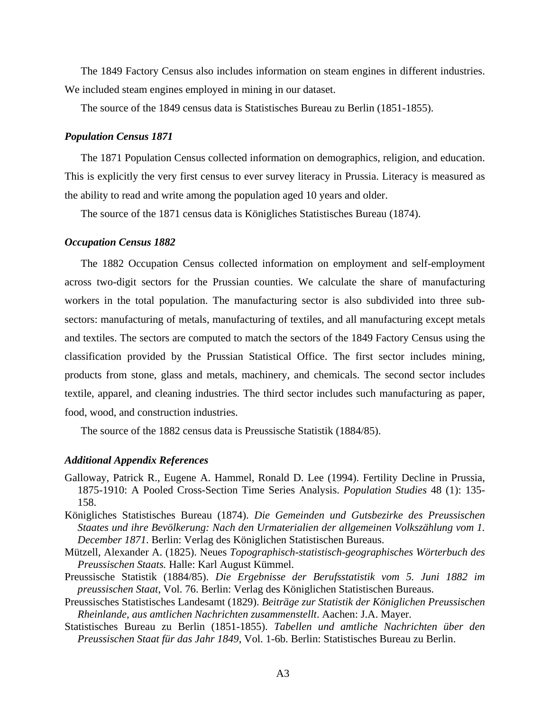The 1849 Factory Census also includes information on steam engines in different industries. We included steam engines employed in mining in our dataset.

The source of the 1849 census data is Statistisches Bureau zu Berlin (1851-1855).

#### *Population Census 1871*

The 1871 Population Census collected information on demographics, religion, and education. This is explicitly the very first census to ever survey literacy in Prussia. Literacy is measured as the ability to read and write among the population aged 10 years and older.

The source of the 1871 census data is Königliches Statistisches Bureau (1874).

#### *Occupation Census 1882*

The 1882 Occupation Census collected information on employment and self-employment across two-digit sectors for the Prussian counties. We calculate the share of manufacturing workers in the total population. The manufacturing sector is also subdivided into three subsectors: manufacturing of metals, manufacturing of textiles, and all manufacturing except metals and textiles. The sectors are computed to match the sectors of the 1849 Factory Census using the classification provided by the Prussian Statistical Office. The first sector includes mining, products from stone, glass and metals, machinery, and chemicals. The second sector includes textile, apparel, and cleaning industries. The third sector includes such manufacturing as paper, food, wood, and construction industries.

The source of the 1882 census data is Preussische Statistik (1884/85).

#### *Additional Appendix References*

- Galloway, Patrick R., Eugene A. Hammel, Ronald D. Lee (1994). Fertility Decline in Prussia, 1875-1910: A Pooled Cross-Section Time Series Analysis. *Population Studies* 48 (1): 135- 158.
- Königliches Statistisches Bureau (1874). *Die Gemeinden und Gutsbezirke des Preussischen Staates und ihre Bevölkerung: Nach den Urmaterialien der allgemeinen Volkszählung vom 1. December 1871*. Berlin: Verlag des Königlichen Statistischen Bureaus.
- Mützell, Alexander A. (1825). Neues *Topographisch-statistisch-geographisches Wörterbuch des Preussischen Staats.* Halle: Karl August Kümmel.
- Preussische Statistik (1884/85). *Die Ergebnisse der Berufsstatistik vom 5. Juni 1882 im preussischen Staat*, Vol. 76. Berlin: Verlag des Königlichen Statistischen Bureaus.
- Preussisches Statistisches Landesamt (1829). *Beiträge zur Statistik der Königlichen Preussischen Rheinlande, aus amtlichen Nachrichten zusammenstellt*. Aachen: J.A. Mayer.
- Statistisches Bureau zu Berlin (1851-1855). *Tabellen und amtliche Nachrichten über den Preussischen Staat für das Jahr 1849*, Vol. 1-6b. Berlin: Statistisches Bureau zu Berlin.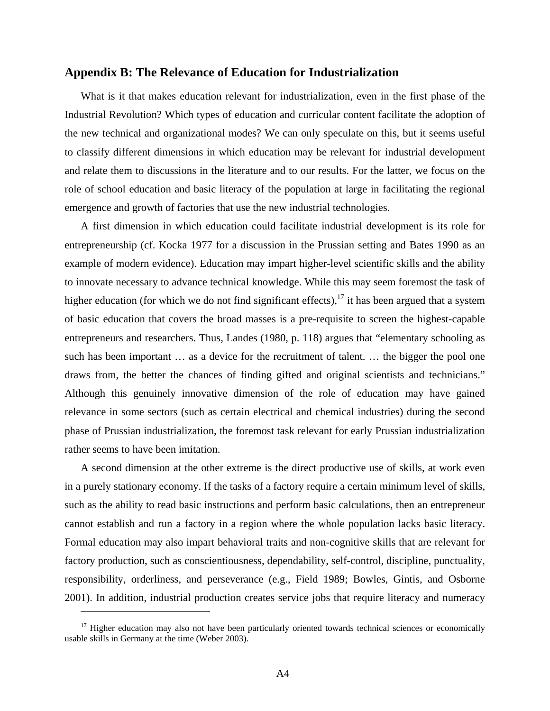#### **Appendix B: The Relevance of Education for Industrialization**

What is it that makes education relevant for industrialization, even in the first phase of the Industrial Revolution? Which types of education and curricular content facilitate the adoption of the new technical and organizational modes? We can only speculate on this, but it seems useful to classify different dimensions in which education may be relevant for industrial development and relate them to discussions in the literature and to our results. For the latter, we focus on the role of school education and basic literacy of the population at large in facilitating the regional emergence and growth of factories that use the new industrial technologies.

A first dimension in which education could facilitate industrial development is its role for entrepreneurship (cf. Kocka 1977 for a discussion in the Prussian setting and Bates 1990 as an example of modern evidence). Education may impart higher-level scientific skills and the ability to innovate necessary to advance technical knowledge. While this may seem foremost the task of higher education (for which we do not find significant effects),  $17$  it has been argued that a system of basic education that covers the broad masses is a pre-requisite to screen the highest-capable entrepreneurs and researchers. Thus, Landes (1980, p. 118) argues that "elementary schooling as such has been important … as a device for the recruitment of talent. … the bigger the pool one draws from, the better the chances of finding gifted and original scientists and technicians." Although this genuinely innovative dimension of the role of education may have gained relevance in some sectors (such as certain electrical and chemical industries) during the second phase of Prussian industrialization, the foremost task relevant for early Prussian industrialization rather seems to have been imitation.

A second dimension at the other extreme is the direct productive use of skills, at work even in a purely stationary economy. If the tasks of a factory require a certain minimum level of skills, such as the ability to read basic instructions and perform basic calculations, then an entrepreneur cannot establish and run a factory in a region where the whole population lacks basic literacy. Formal education may also impart behavioral traits and non-cognitive skills that are relevant for factory production, such as conscientiousness, dependability, self-control, discipline, punctuality, responsibility, orderliness, and perseverance (e.g., Field 1989; Bowles, Gintis, and Osborne 2001). In addition, industrial production creates service jobs that require literacy and numeracy

1

 $17$  Higher education may also not have been particularly oriented towards technical sciences or economically usable skills in Germany at the time (Weber 2003).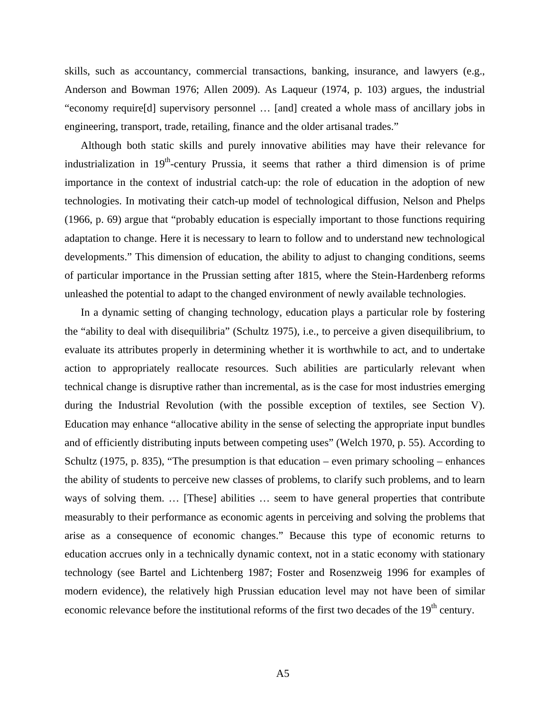skills, such as accountancy, commercial transactions, banking, insurance, and lawyers (e.g., Anderson and Bowman 1976; Allen 2009). As Laqueur (1974, p. 103) argues, the industrial "economy require[d] supervisory personnel … [and] created a whole mass of ancillary jobs in engineering, transport, trade, retailing, finance and the older artisanal trades."

Although both static skills and purely innovative abilities may have their relevance for industrialization in  $19<sup>th</sup>$ -century Prussia, it seems that rather a third dimension is of prime importance in the context of industrial catch-up: the role of education in the adoption of new technologies. In motivating their catch-up model of technological diffusion, Nelson and Phelps (1966, p. 69) argue that "probably education is especially important to those functions requiring adaptation to change. Here it is necessary to learn to follow and to understand new technological developments." This dimension of education, the ability to adjust to changing conditions, seems of particular importance in the Prussian setting after 1815, where the Stein-Hardenberg reforms unleashed the potential to adapt to the changed environment of newly available technologies.

In a dynamic setting of changing technology, education plays a particular role by fostering the "ability to deal with disequilibria" (Schultz 1975), i.e., to perceive a given disequilibrium, to evaluate its attributes properly in determining whether it is worthwhile to act, and to undertake action to appropriately reallocate resources. Such abilities are particularly relevant when technical change is disruptive rather than incremental, as is the case for most industries emerging during the Industrial Revolution (with the possible exception of textiles, see Section V). Education may enhance "allocative ability in the sense of selecting the appropriate input bundles and of efficiently distributing inputs between competing uses" (Welch 1970, p. 55). According to Schultz (1975, p. 835), "The presumption is that education – even primary schooling – enhances the ability of students to perceive new classes of problems, to clarify such problems, and to learn ways of solving them. … [These] abilities … seem to have general properties that contribute measurably to their performance as economic agents in perceiving and solving the problems that arise as a consequence of economic changes." Because this type of economic returns to education accrues only in a technically dynamic context, not in a static economy with stationary technology (see Bartel and Lichtenberg 1987; Foster and Rosenzweig 1996 for examples of modern evidence), the relatively high Prussian education level may not have been of similar economic relevance before the institutional reforms of the first two decades of the 19<sup>th</sup> century.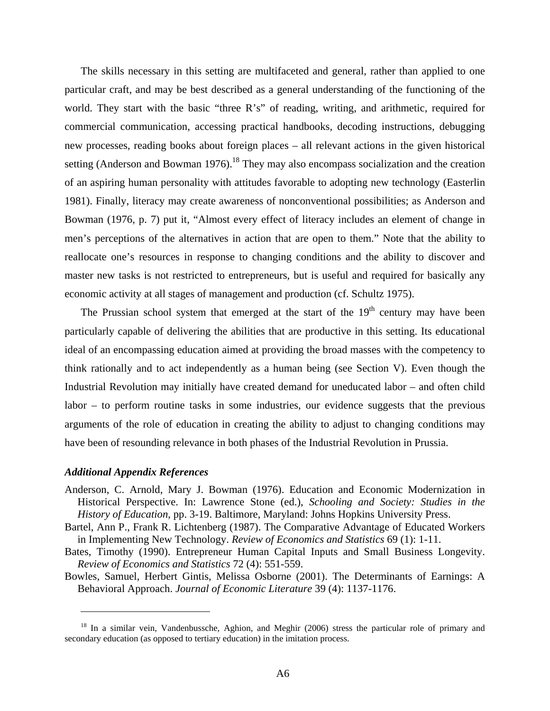The skills necessary in this setting are multifaceted and general, rather than applied to one particular craft, and may be best described as a general understanding of the functioning of the world. They start with the basic "three R's" of reading, writing, and arithmetic, required for commercial communication, accessing practical handbooks, decoding instructions, debugging new processes, reading books about foreign places – all relevant actions in the given historical setting (Anderson and Bowman 1976).<sup>18</sup> They may also encompass socialization and the creation of an aspiring human personality with attitudes favorable to adopting new technology (Easterlin 1981). Finally, literacy may create awareness of nonconventional possibilities; as Anderson and Bowman (1976, p. 7) put it, "Almost every effect of literacy includes an element of change in men's perceptions of the alternatives in action that are open to them." Note that the ability to reallocate one's resources in response to changing conditions and the ability to discover and master new tasks is not restricted to entrepreneurs, but is useful and required for basically any economic activity at all stages of management and production (cf. Schultz 1975).

The Prussian school system that emerged at the start of the  $19<sup>th</sup>$  century may have been particularly capable of delivering the abilities that are productive in this setting. Its educational ideal of an encompassing education aimed at providing the broad masses with the competency to think rationally and to act independently as a human being (see Section V). Even though the Industrial Revolution may initially have created demand for uneducated labor – and often child labor – to perform routine tasks in some industries, our evidence suggests that the previous arguments of the role of education in creating the ability to adjust to changing conditions may have been of resounding relevance in both phases of the Industrial Revolution in Prussia.

#### *Additional Appendix References*

 $\overline{a}$ 

- Anderson, C. Arnold, Mary J. Bowman (1976). Education and Economic Modernization in Historical Perspective. In: Lawrence Stone (ed.), *Schooling and Society: Studies in the History of Education*, pp. 3-19. Baltimore, Maryland: Johns Hopkins University Press.
- Bartel, Ann P., Frank R. Lichtenberg (1987). The Comparative Advantage of Educated Workers in Implementing New Technology. *Review of Economics and Statistics* 69 (1): 1-11.
- Bates, Timothy (1990). Entrepreneur Human Capital Inputs and Small Business Longevity. *Review of Economics and Statistics* 72 (4): 551-559.
- Bowles, Samuel, Herbert Gintis, Melissa Osborne (2001). The Determinants of Earnings: A Behavioral Approach. *Journal of Economic Literature* 39 (4): 1137-1176.

<sup>&</sup>lt;sup>18</sup> In a similar vein, Vandenbussche, Aghion, and Meghir (2006) stress the particular role of primary and secondary education (as opposed to tertiary education) in the imitation process.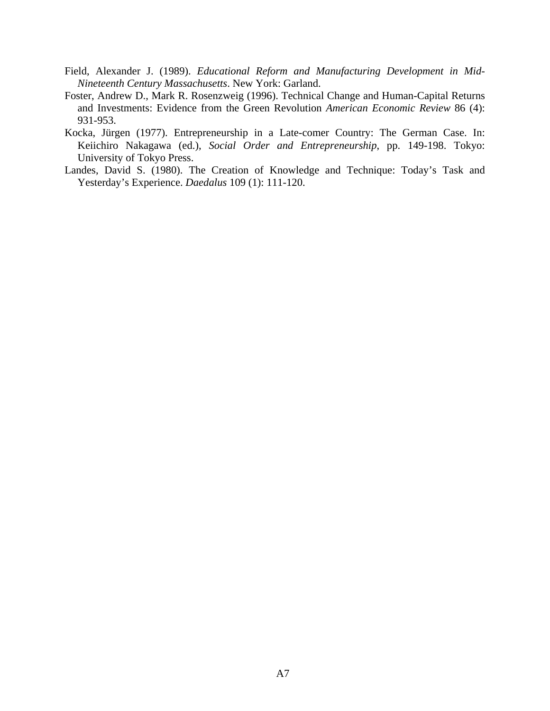- Field, Alexander J. (1989). *Educational Reform and Manufacturing Development in Mid-Nineteenth Century Massachusetts*. New York: Garland.
- Foster, Andrew D., Mark R. Rosenzweig (1996). Technical Change and Human-Capital Returns and Investments: Evidence from the Green Revolution *American Economic Review* 86 (4): 931-953.
- Kocka, Jürgen (1977). Entrepreneurship in a Late-comer Country: The German Case. In: Keiichiro Nakagawa (ed.), *Social Order and Entrepreneurship*, pp. 149-198. Tokyo: University of Tokyo Press.
- Landes, David S. (1980). The Creation of Knowledge and Technique: Today's Task and Yesterday's Experience. *Daedalus* 109 (1): 111-120.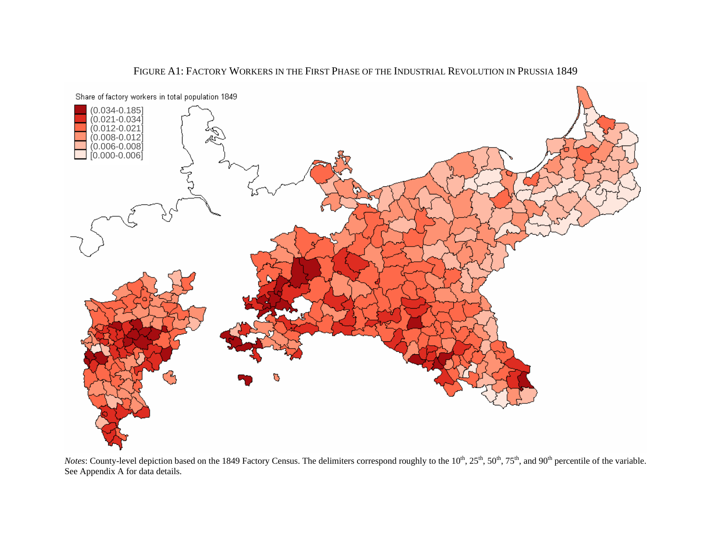

FIGURE A1: FACTORY WORKERS IN THE FIRST PHASE OF THE INDUSTRIAL REVOLUTION IN PRUSSIA 1849

*Notes*: County-level depiction based on the 1849 Factory Census. The delimiters correspond roughly to the 10<sup>th</sup>, 25<sup>th</sup>, 50<sup>th</sup>, 75<sup>th</sup>, and 90<sup>th</sup> percentile of the variable. See Appendix A for data details.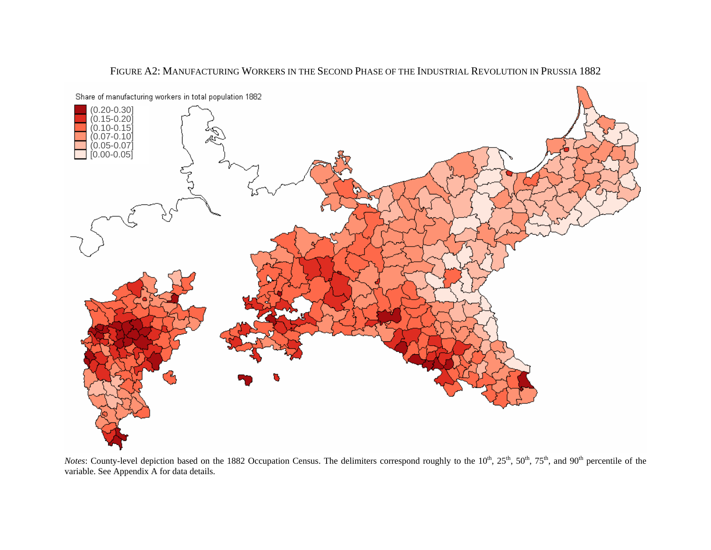

#### FIGURE A2: MANUFACTURING WORKERS IN THE SECOND PHASE OF THE INDUSTRIAL REVOLUTION IN PRUSSIA 1882

*Notes*: County-level depiction based on the 1882 Occupation Census. The delimiters correspond roughly to the 10<sup>th</sup>, 25<sup>th</sup>, 50<sup>th</sup>, 75<sup>th</sup>, and 90<sup>th</sup> percentile of the variable. See Appendix A for data details.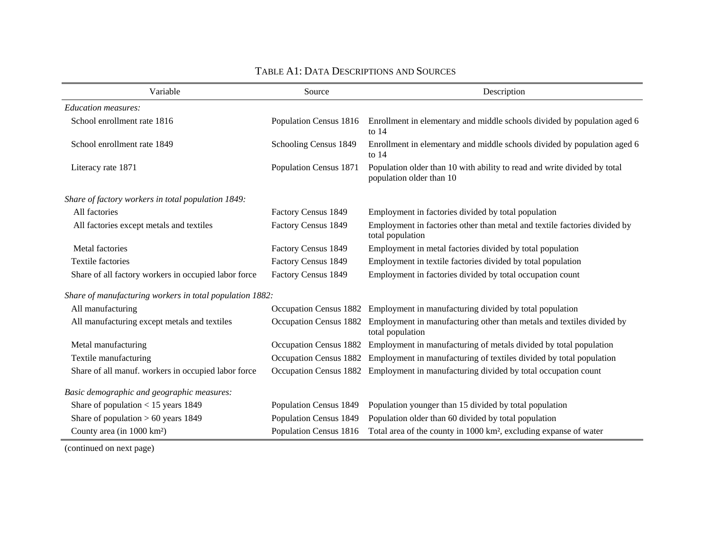| Variable                                                 | Source                 | Description                                                                                          |
|----------------------------------------------------------|------------------------|------------------------------------------------------------------------------------------------------|
| <b>Education measures:</b>                               |                        |                                                                                                      |
| School enrollment rate 1816                              | Population Census 1816 | Enrollment in elementary and middle schools divided by population aged 6<br>to $14$                  |
| School enrollment rate 1849                              | Schooling Census 1849  | Enrollment in elementary and middle schools divided by population aged 6<br>to $14$                  |
| Literacy rate 1871                                       | Population Census 1871 | Population older than 10 with ability to read and write divided by total<br>population older than 10 |
| Share of factory workers in total population 1849:       |                        |                                                                                                      |
| All factories                                            | Factory Census 1849    | Employment in factories divided by total population                                                  |
| All factories except metals and textiles                 | Factory Census 1849    | Employment in factories other than metal and textile factories divided by<br>total population        |
| Metal factories                                          | Factory Census 1849    | Employment in metal factories divided by total population                                            |
| <b>Textile factories</b>                                 | Factory Census 1849    | Employment in textile factories divided by total population                                          |
| Share of all factory workers in occupied labor force     | Factory Census 1849    | Employment in factories divided by total occupation count                                            |
| Share of manufacturing workers in total population 1882: |                        |                                                                                                      |
| All manufacturing                                        |                        | Occupation Census 1882 Employment in manufacturing divided by total population                       |
| All manufacturing except metals and textiles             | Occupation Census 1882 | Employment in manufacturing other than metals and textiles divided by<br>total population            |
| Metal manufacturing                                      | Occupation Census 1882 | Employment in manufacturing of metals divided by total population                                    |
| Textile manufacturing                                    | Occupation Census 1882 | Employment in manufacturing of textiles divided by total population                                  |
| Share of all manuf. workers in occupied labor force      | Occupation Census 1882 | Employment in manufacturing divided by total occupation count                                        |
| Basic demographic and geographic measures:               |                        |                                                                                                      |
| Share of population $<$ 15 years 1849                    | Population Census 1849 | Population younger than 15 divided by total population                                               |
| Share of population $> 60$ years 1849                    | Population Census 1849 | Population older than 60 divided by total population                                                 |
| County area (in 1000 km <sup>2</sup> )                   | Population Census 1816 | Total area of the county in 1000 km <sup>2</sup> , excluding expanse of water                        |

#### TABLE A1: DATA DESCRIPTIONS AND SOURCES

(continued on next page)